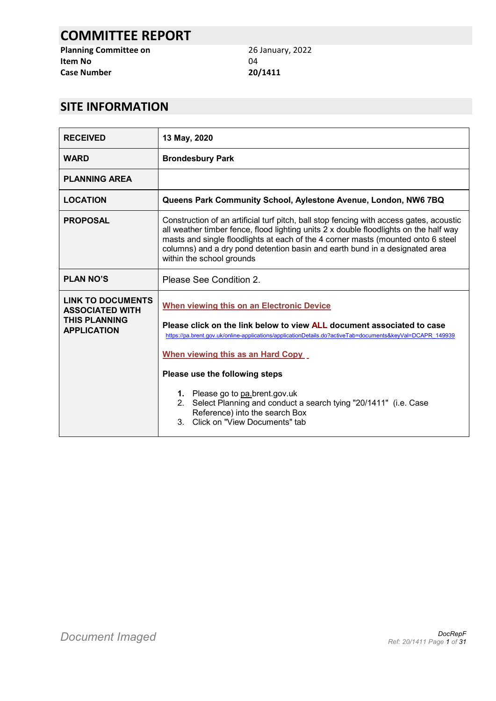# **COMMITTEE REPORT**

**Planning Committee on** 26 January, 2022<br> **Item No** 04 **Item No Case Number 20/1411**

# **SITE INFORMATION**

| <b>RECEIVED</b>                                                                                  | 13 May, 2020                                                                                                                                                                                                                                                                                                                                                                     |  |  |
|--------------------------------------------------------------------------------------------------|----------------------------------------------------------------------------------------------------------------------------------------------------------------------------------------------------------------------------------------------------------------------------------------------------------------------------------------------------------------------------------|--|--|
| <b>WARD</b>                                                                                      | <b>Brondesbury Park</b>                                                                                                                                                                                                                                                                                                                                                          |  |  |
| <b>PLANNING AREA</b>                                                                             |                                                                                                                                                                                                                                                                                                                                                                                  |  |  |
| <b>LOCATION</b>                                                                                  | Queens Park Community School, Aylestone Avenue, London, NW6 7BQ                                                                                                                                                                                                                                                                                                                  |  |  |
| <b>PROPOSAL</b>                                                                                  | Construction of an artificial turf pitch, ball stop fencing with access gates, acoustic<br>all weather timber fence, flood lighting units 2 x double floodlights on the half way<br>masts and single floodlights at each of the 4 corner masts (mounted onto 6 steel<br>columns) and a dry pond detention basin and earth bund in a designated area<br>within the school grounds |  |  |
| <b>PLAN NO'S</b>                                                                                 | Please See Condition 2.                                                                                                                                                                                                                                                                                                                                                          |  |  |
| <b>LINK TO DOCUMENTS</b><br><b>ASSOCIATED WITH</b><br><b>THIS PLANNING</b><br><b>APPLICATION</b> | When viewing this on an Electronic Device<br>Please click on the link below to view ALL document associated to case<br>https://pa.brent.gov.uk/online-applications/applicationDetails.do?activeTab=documents&keyVal=DCAPR 149939<br>When viewing this as an Hard Copy<br>Please use the following steps                                                                          |  |  |
|                                                                                                  | 1. Please go to pa.brent.gov.uk<br>2. Select Planning and conduct a search tying "20/1411" (i.e. Case<br>Reference) into the search Box<br>3. Click on "View Documents" tab                                                                                                                                                                                                      |  |  |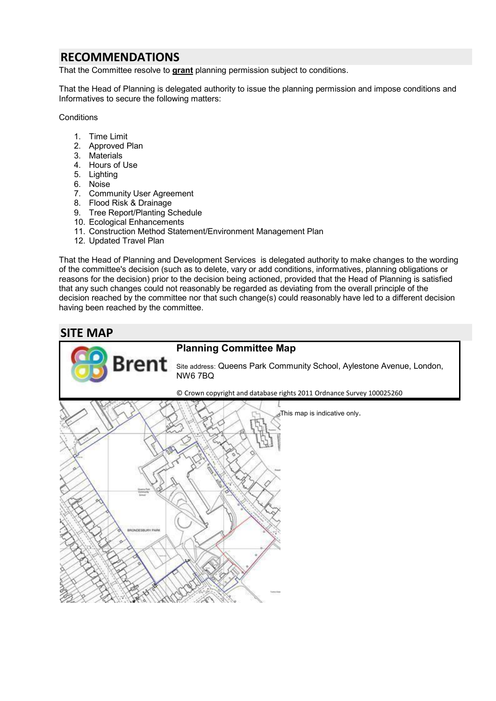# **RECOMMENDATIONS**

That the Committee resolve to **grant** planning permission subject to conditions.

That the Head of Planning is delegated authority to issue the planning permission and impose conditions and Informatives to secure the following matters:

**Conditions** 

- 1. Time Limit
- 2. Approved Plan
- 3. Materials
- 4. Hours of Use
- 5. Lighting
- 6. Noise
- 7. Community User Agreement
- 8. Flood Risk & Drainage
- 9. Tree Report/Planting Schedule
- 10. Ecological Enhancements

Brer

- 11. Construction Method Statement/Environment Management Plan
- 12. Updated Travel Plan

That the Head of Planning and Development Services is delegated authority to make changes to the wording of the committee's decision (such as to delete, vary or add conditions, informatives, planning obligations or reasons for the decision) prior to the decision being actioned, provided that the Head of Planning is satisfied that any such changes could not reasonably be regarded as deviating from the overall principle of the decision reached by the committee nor that such change(s) could reasonably have led to a different decision having been reached by the committee.



# **Planning Committee Map**

Site address: Queens Park Community School, Aylestone Avenue, London, NW6 7BQ

© Crown copyright and database rights 2011 Ordnance Survey 100025260

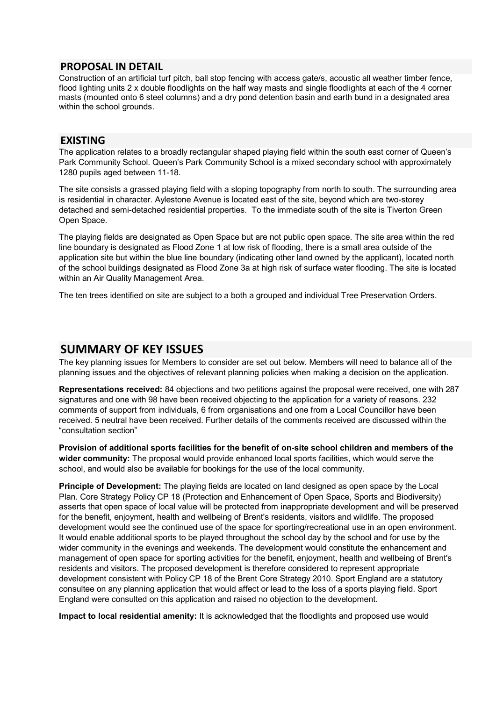### **PROPOSAL IN DETAIL**

Construction of an artificial turf pitch, ball stop fencing with access gate/s, acoustic all weather timber fence, flood lighting units 2 x double floodlights on the half way masts and single floodlights at each of the 4 corner masts (mounted onto 6 steel columns) and a dry pond detention basin and earth bund in a designated area within the school grounds.

### **EXISTING**

The application relates to a broadly rectangular shaped playing field within the south east corner of Queen's Park Community School. Queen's Park Community School is a mixed secondary school with approximately 1280 pupils aged between 11-18.

The site consists a grassed playing field with a sloping topography from north to south. The surrounding area is residential in character. Aylestone Avenue is located east of the site, beyond which are two-storey detached and semi-detached residential properties. To the immediate south of the site is Tiverton Green Open Space.

The playing fields are designated as Open Space but are not public open space. The site area within the red line boundary is designated as Flood Zone 1 at low risk of flooding, there is a small area outside of the application site but within the blue line boundary (indicating other land owned by the applicant), located north of the school buildings designated as Flood Zone 3a at high risk of surface water flooding. The site is located within an Air Quality Management Area.

The ten trees identified on site are subject to a both a grouped and individual Tree Preservation Orders.

## **SUMMARY OF KEY ISSUES**

The key planning issues for Members to consider are set out below. Members will need to balance all of the planning issues and the objectives of relevant planning policies when making a decision on the application.

**Representations received:** 84 objections and two petitions against the proposal were received, one with 287 signatures and one with 98 have been received objecting to the application for a variety of reasons. 232 comments of support from individuals, 6 from organisations and one from a Local Councillor have been received. 5 neutral have been received. Further details of the comments received are discussed within the "consultation section"

**Provision of additional sports facilities for the benefit of on-site school children and members of the wider community:** The proposal would provide enhanced local sports facilities, which would serve the school, and would also be available for bookings for the use of the local community.

**Principle of Development:** The playing fields are located on land designed as open space by the Local Plan. Core Strategy Policy CP 18 (Protection and Enhancement of Open Space, Sports and Biodiversity) asserts that open space of local value will be protected from inappropriate development and will be preserved for the benefit, enjoyment, health and wellbeing of Brent's residents, visitors and wildlife. The proposed development would see the continued use of the space for sporting/recreational use in an open environment. It would enable additional sports to be played throughout the school day by the school and for use by the wider community in the evenings and weekends. The development would constitute the enhancement and management of open space for sporting activities for the benefit, enjoyment, health and wellbeing of Brent's residents and visitors. The proposed development is therefore considered to represent appropriate development consistent with Policy CP 18 of the Brent Core Strategy 2010. Sport England are a statutory consultee on any planning application that would affect or lead to the loss of a sports playing field. Sport England were consulted on this application and raised no objection to the development.

**Impact to local residential amenity:** It is acknowledged that the floodlights and proposed use would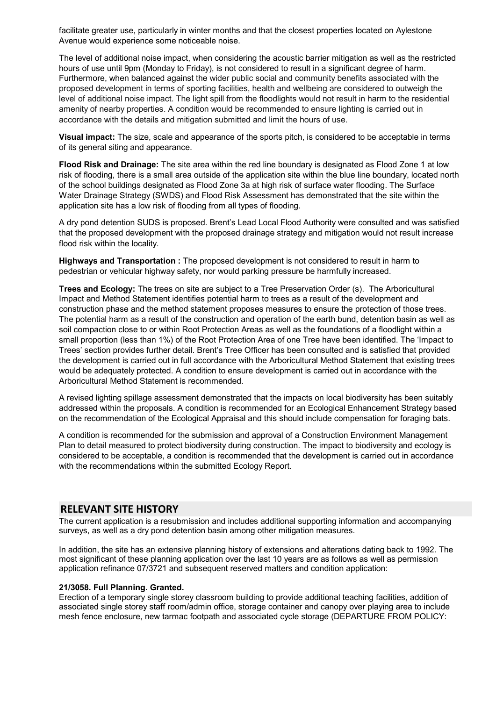facilitate greater use, particularly in winter months and that the closest properties located on Aylestone Avenue would experience some noticeable noise.

The level of additional noise impact, when considering the acoustic barrier mitigation as well as the restricted hours of use until 9pm (Monday to Friday), is not considered to result in a significant degree of harm. Furthermore, when balanced against the wider public social and community benefits associated with the proposed development in terms of sporting facilities, health and wellbeing are considered to outweigh the level of additional noise impact. The light spill from the floodlights would not result in harm to the residential amenity of nearby properties. A condition would be recommended to ensure lighting is carried out in accordance with the details and mitigation submitted and limit the hours of use.

**Visual impact:** The size, scale and appearance of the sports pitch, is considered to be acceptable in terms of its general siting and appearance.

**Flood Risk and Drainage:** The site area within the red line boundary is designated as Flood Zone 1 at low risk of flooding, there is a small area outside of the application site within the blue line boundary, located north of the school buildings designated as Flood Zone 3a at high risk of surface water flooding. The Surface Water Drainage Strategy (SWDS) and Flood Risk Assessment has demonstrated that the site within the application site has a low risk of flooding from all types of flooding.

A dry pond detention SUDS is proposed. Brent's Lead Local Flood Authority were consulted and was satisfied that the proposed development with the proposed drainage strategy and mitigation would not result increase flood risk within the locality.

**Highways and Transportation :** The proposed development is not considered to result in harm to pedestrian or vehicular highway safety, nor would parking pressure be harmfully increased.

**Trees and Ecology:** The trees on site are subject to a Tree Preservation Order (s). The Arboricultural Impact and Method Statement identifies potential harm to trees as a result of the development and construction phase and the method statement proposes measures to ensure the protection of those trees. The potential harm as a result of the construction and operation of the earth bund, detention basin as well as soil compaction close to or within Root Protection Areas as well as the foundations of a floodlight within a small proportion (less than 1%) of the Root Protection Area of one Tree have been identified. The 'Impact to Trees' section provides further detail. Brent's Tree Officer has been consulted and is satisfied that provided the development is carried out in full accordance with the Arboricultural Method Statement that existing trees would be adequately protected. A condition to ensure development is carried out in accordance with the Arboricultural Method Statement is recommended.

A revised lighting spillage assessment demonstrated that the impacts on local biodiversity has been suitably addressed within the proposals. A condition is recommended for an Ecological Enhancement Strategy based on the recommendation of the Ecological Appraisal and this should include compensation for foraging bats.

A condition is recommended for the submission and approval of a Construction Environment Management Plan to detail measured to protect biodiversity during construction. The impact to biodiversity and ecology is considered to be acceptable, a condition is recommended that the development is carried out in accordance with the recommendations within the submitted Ecology Report.

### **RELEVANT SITE HISTORY**

The current application is a resubmission and includes additional supporting information and accompanying surveys, as well as a dry pond detention basin among other mitigation measures.

In addition, the site has an extensive planning history of extensions and alterations dating back to 1992. The most significant of these planning application over the last 10 years are as follows as well as permission application refinance 07/3721 and subsequent reserved matters and condition application:

### **21/3058. Full Planning. Granted.**

Erection of a temporary single storey classroom building to provide additional teaching facilities, addition of associated single storey staff room/admin office, storage container and canopy over playing area to include mesh fence enclosure, new tarmac footpath and associated cycle storage (DEPARTURE FROM POLICY: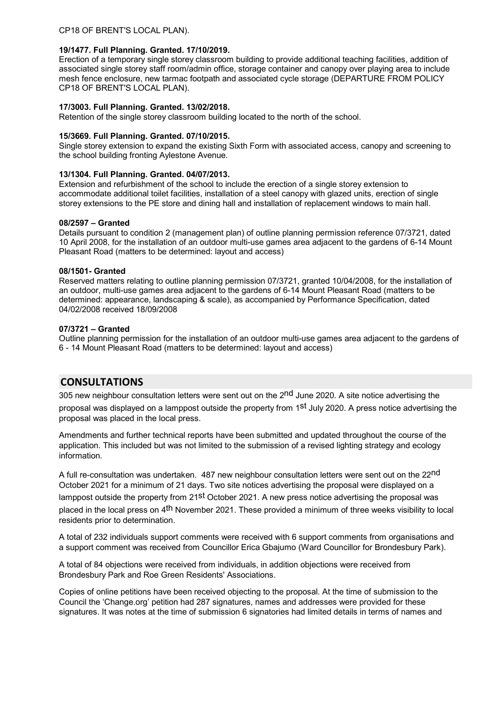### **19/1477. Full Planning. Granted. 17/10/2019.**

Erection of a temporary single storey classroom building to provide additional teaching facilities, addition of associated single storey staff room/admin office, storage container and canopy over playing area to include mesh fence enclosure, new tarmac footpath and associated cycle storage (DEPARTURE FROM POLICY CP18 OF BRENT'S LOCAL PLAN).

### **17/3003. Full Planning. Granted. 13/02/2018.**

Retention of the single storey classroom building located to the north of the school.

### **15/3669. Full Planning. Granted. 07/10/2015.**

Single storey extension to expand the existing Sixth Form with associated access, canopy and screening to the school building fronting Aylestone Avenue.

### **13/1304. Full Planning. Granted. 04/07/2013.**

Extension and refurbishment of the school to include the erection of a single storey extension to accommodate additional toilet facilities, installation of a steel canopy with glazed units, erection of single storey extensions to the PE store and dining hall and installation of replacement windows to main hall.

### **08/2597 – Granted**

Details pursuant to condition 2 (management plan) of outline planning permission reference 07/3721, dated 10 April 2008, for the installation of an outdoor multi-use games area adjacent to the gardens of 6-14 Mount Pleasant Road (matters to be determined: layout and access)

### **08/1501- Granted**

Reserved matters relating to outline planning permission 07/3721, granted 10/04/2008, for the installation of an outdoor, multi-use games area adjacent to the gardens of 6-14 Mount Pleasant Road (matters to be determined: appearance, landscaping & scale), as accompanied by Performance Specification, dated 04/02/2008 received 18/09/2008

### **07/3721 – Granted**

Outline planning permission for the installation of an outdoor multi-use games area adjacent to the gardens of 6 - 14 Mount Pleasant Road (matters to be determined: layout and access)

## **CONSULTATIONS**

305 new neighbour consultation letters were sent out on the 2<sup>nd</sup> June 2020. A site notice advertising the proposal was displayed on a lamppost outside the property from 1st July 2020. A press notice advertising the proposal was placed in the local press.

Amendments and further technical reports have been submitted and updated throughout the course of the application. This included but was not limited to the submission of a revised lighting strategy and ecology information.

A full re-consultation was undertaken. 487 new neighbour consultation letters were sent out on the 22nd October 2021 for a minimum of 21 days. Two site notices advertising the proposal were displayed on a lamppost outside the property from 21st October 2021. A new press notice advertising the proposal was placed in the local press on 4<sup>th</sup> November 2021. These provided a minimum of three weeks visibility to local residents prior to determination.

A total of 232 individuals support comments were received with 6 support comments from organisations and a support comment was received from Councillor Erica Gbajumo (Ward Councillor for Brondesbury Park).

A total of 84 objections were received from individuals, in addition objections were received from Brondesbury Park and Roe Green Residents' Associations.

Copies of online petitions have been received objecting to the proposal. At the time of submission to the Council the 'Change.org' petition had 287 signatures, names and addresses were provided for these signatures. It was notes at the time of submission 6 signatories had limited details in terms of names and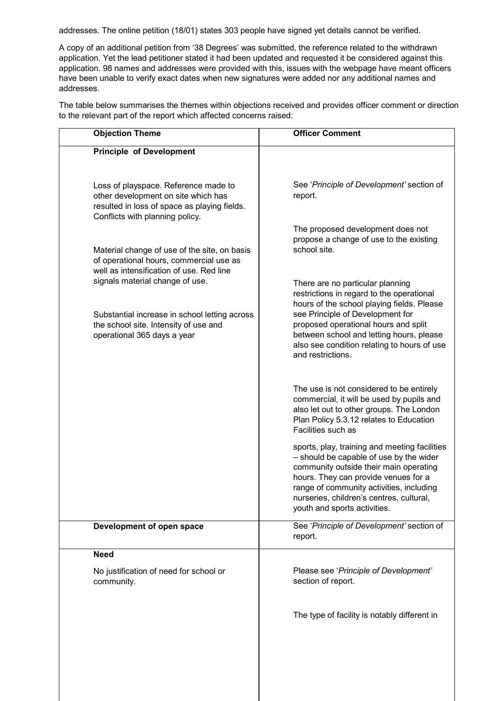addresses. The online petition (18/01) states 303 people have signed yet details cannot be verified.

A copy of an additional petition from '38 Degrees' was submitted, the reference related to the withdrawn application. Yet the lead petitioner stated it had been updated and requested it be considered against this application. 98 names and addresses were provided with this, issues with the webpage have meant officers have been unable to verify exact dates when new signatures were added nor any additional names and addresses.

The table below summarises the themes within objections received and provides officer comment or direction to the relevant part of the report which affected concerns raised:

| <b>Objection Theme</b>                                                                                                                                         | <b>Officer Comment</b>                                                                                                                                                                                                                                                                             |  |
|----------------------------------------------------------------------------------------------------------------------------------------------------------------|----------------------------------------------------------------------------------------------------------------------------------------------------------------------------------------------------------------------------------------------------------------------------------------------------|--|
| <b>Principle of Development</b>                                                                                                                                |                                                                                                                                                                                                                                                                                                    |  |
|                                                                                                                                                                |                                                                                                                                                                                                                                                                                                    |  |
| Loss of playspace. Reference made to<br>other development on site which has<br>resulted in loss of space as playing fields.<br>Conflicts with planning policy. | See 'Principle of Development' section of<br>report.                                                                                                                                                                                                                                               |  |
| Material change of use of the site, on basis<br>of operational hours, commercial use as<br>well as intensification of use. Red line                            | The proposed development does not<br>propose a change of use to the existing<br>school site.                                                                                                                                                                                                       |  |
| signals material change of use.                                                                                                                                | There are no particular planning<br>restrictions in regard to the operational<br>hours of the school playing fields. Please                                                                                                                                                                        |  |
| Substantial increase in school letting across<br>the school site. Intensity of use and<br>operational 365 days a year                                          | see Principle of Development for<br>proposed operational hours and split<br>between school and letting hours, please<br>also see condition relating to hours of use<br>and restrictions.                                                                                                           |  |
|                                                                                                                                                                | The use is not considered to be entirely<br>commercial, it will be used by pupils and<br>also let out to other groups. The London<br>Plan Policy 5.3.12 relates to Education<br>Facilities such as                                                                                                 |  |
|                                                                                                                                                                | sports, play, training and meeting facilities<br>- should be capable of use by the wider<br>community outside their main operating<br>hours. They can provide venues for a<br>range of community activities, including<br>nurseries, children's centres, cultural,<br>youth and sports activities. |  |
| Development of open space                                                                                                                                      | See 'Principle of Development' section of<br>report.                                                                                                                                                                                                                                               |  |
| <b>Need</b>                                                                                                                                                    |                                                                                                                                                                                                                                                                                                    |  |
| No justification of need for school or<br>community.                                                                                                           | Please see 'Principle of Development'<br>section of report.                                                                                                                                                                                                                                        |  |
|                                                                                                                                                                | The type of facility is notably different in                                                                                                                                                                                                                                                       |  |
|                                                                                                                                                                |                                                                                                                                                                                                                                                                                                    |  |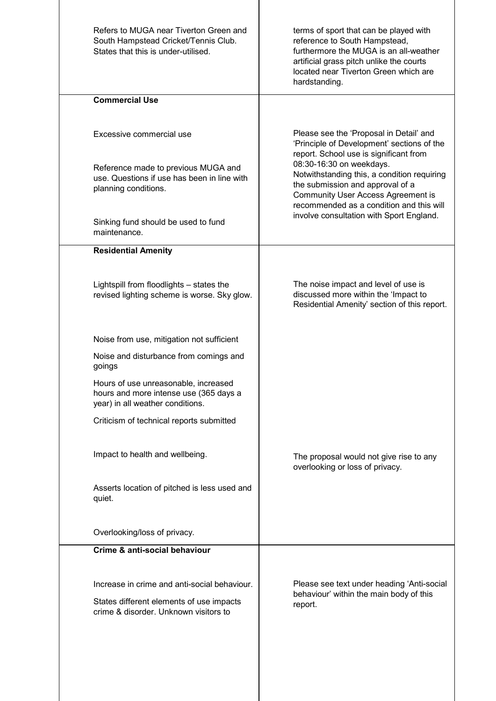| Refers to MUGA near Tiverton Green and<br>South Hampstead Cricket/Tennis Club.<br>States that this is under-utilised. | terms of sport that can be played with<br>reference to South Hampstead,<br>furthermore the MUGA is an all-weather<br>artificial grass pitch unlike the courts<br>located near Tiverton Green which are<br>hardstanding. |  |
|-----------------------------------------------------------------------------------------------------------------------|-------------------------------------------------------------------------------------------------------------------------------------------------------------------------------------------------------------------------|--|
| <b>Commercial Use</b>                                                                                                 |                                                                                                                                                                                                                         |  |
| Excessive commercial use                                                                                              | Please see the 'Proposal in Detail' and<br>'Principle of Development' sections of the<br>report. School use is significant from                                                                                         |  |
| Reference made to previous MUGA and<br>use. Questions if use has been in line with<br>planning conditions.            | 08:30-16:30 on weekdays.<br>Notwithstanding this, a condition requiring<br>the submission and approval of a<br><b>Community User Access Agreement is</b><br>recommended as a condition and this will                    |  |
| Sinking fund should be used to fund<br>maintenance.                                                                   | involve consultation with Sport England.                                                                                                                                                                                |  |
| <b>Residential Amenity</b>                                                                                            |                                                                                                                                                                                                                         |  |
| Lightspill from floodlights - states the<br>revised lighting scheme is worse. Sky glow.                               | The noise impact and level of use is<br>discussed more within the 'Impact to<br>Residential Amenity' section of this report.                                                                                            |  |
| Noise from use, mitigation not sufficient                                                                             |                                                                                                                                                                                                                         |  |
| Noise and disturbance from comings and<br>goings                                                                      |                                                                                                                                                                                                                         |  |
| Hours of use unreasonable, increased<br>hours and more intense use (365 days a<br>year) in all weather conditions.    |                                                                                                                                                                                                                         |  |
| Criticism of technical reports submitted                                                                              |                                                                                                                                                                                                                         |  |
| Impact to health and wellbeing.                                                                                       | The proposal would not give rise to any<br>overlooking or loss of privacy.                                                                                                                                              |  |
| Asserts location of pitched is less used and<br>quiet.                                                                |                                                                                                                                                                                                                         |  |
| Overlooking/loss of privacy.                                                                                          |                                                                                                                                                                                                                         |  |
| Crime & anti-social behaviour                                                                                         |                                                                                                                                                                                                                         |  |
| Increase in crime and anti-social behaviour.                                                                          | Please see text under heading 'Anti-social                                                                                                                                                                              |  |
| States different elements of use impacts<br>crime & disorder. Unknown visitors to                                     | behaviour' within the main body of this<br>report.                                                                                                                                                                      |  |
|                                                                                                                       |                                                                                                                                                                                                                         |  |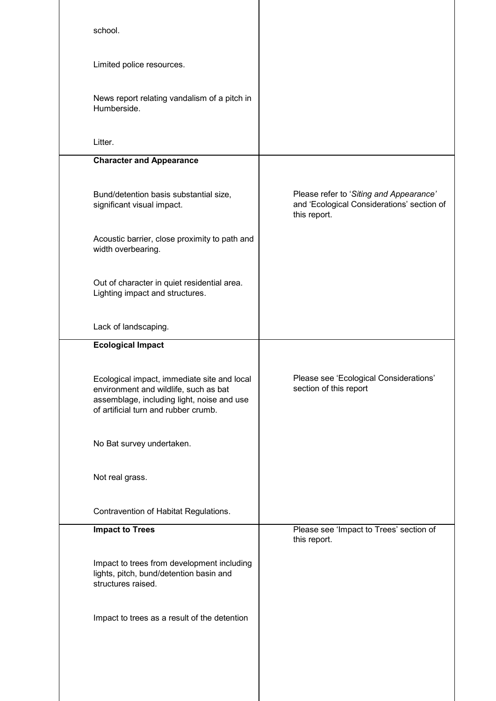| school.                                                                                                                                                                    |                                                                                                       |
|----------------------------------------------------------------------------------------------------------------------------------------------------------------------------|-------------------------------------------------------------------------------------------------------|
| Limited police resources.                                                                                                                                                  |                                                                                                       |
| News report relating vandalism of a pitch in<br>Humberside.                                                                                                                |                                                                                                       |
| Litter.                                                                                                                                                                    |                                                                                                       |
| <b>Character and Appearance</b>                                                                                                                                            |                                                                                                       |
| Bund/detention basis substantial size,<br>significant visual impact.                                                                                                       | Please refer to 'Siting and Appearance'<br>and 'Ecological Considerations' section of<br>this report. |
| Acoustic barrier, close proximity to path and<br>width overbearing.                                                                                                        |                                                                                                       |
| Out of character in quiet residential area.<br>Lighting impact and structures.                                                                                             |                                                                                                       |
| Lack of landscaping.                                                                                                                                                       |                                                                                                       |
| <b>Ecological Impact</b>                                                                                                                                                   |                                                                                                       |
| Ecological impact, immediate site and local<br>environment and wildlife, such as bat<br>assemblage, including light, noise and use<br>of artificial turn and rubber crumb. | Please see 'Ecological Considerations'<br>section of this report                                      |
| No Bat survey undertaken.                                                                                                                                                  |                                                                                                       |
| Not real grass.                                                                                                                                                            |                                                                                                       |
| Contravention of Habitat Regulations.                                                                                                                                      |                                                                                                       |
| <b>Impact to Trees</b>                                                                                                                                                     | Please see 'Impact to Trees' section of<br>this report.                                               |
| Impact to trees from development including<br>lights, pitch, bund/detention basin and<br>structures raised.                                                                |                                                                                                       |
| Impact to trees as a result of the detention                                                                                                                               |                                                                                                       |
|                                                                                                                                                                            |                                                                                                       |
|                                                                                                                                                                            |                                                                                                       |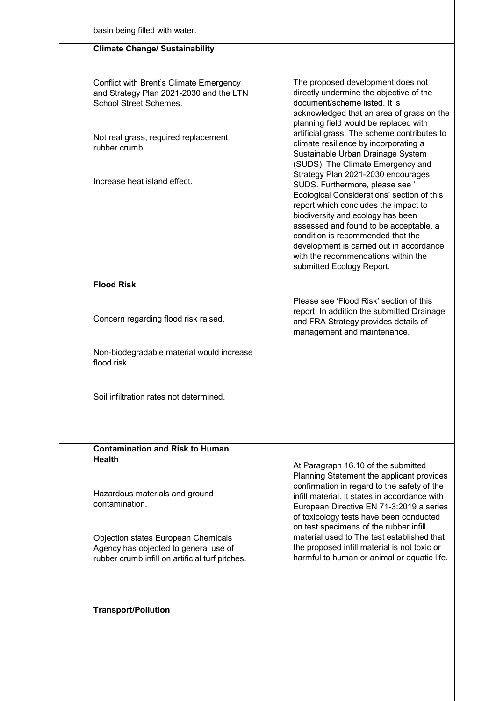| basin being filled with water.                                                                                                                              |                                                                                                                                                                                                                                                                                                                                                                                                 |
|-------------------------------------------------------------------------------------------------------------------------------------------------------------|-------------------------------------------------------------------------------------------------------------------------------------------------------------------------------------------------------------------------------------------------------------------------------------------------------------------------------------------------------------------------------------------------|
| <b>Climate Change/ Sustainability</b>                                                                                                                       |                                                                                                                                                                                                                                                                                                                                                                                                 |
|                                                                                                                                                             |                                                                                                                                                                                                                                                                                                                                                                                                 |
| Conflict with Brent's Climate Emergency<br>and Strategy Plan 2021-2030 and the LTN<br><b>School Street Schemes.</b><br>Not real grass, required replacement | The proposed development does not<br>directly undermine the objective of the<br>document/scheme listed. It is<br>acknowledged that an area of grass on the<br>planning field would be replaced with<br>artificial grass. The scheme contributes to                                                                                                                                              |
| rubber crumb.                                                                                                                                               | climate resilience by incorporating a<br>Sustainable Urban Drainage System<br>(SUDS). The Climate Emergency and                                                                                                                                                                                                                                                                                 |
| Increase heat island effect.                                                                                                                                | Strategy Plan 2021-2030 encourages<br>SUDS. Furthermore, please see '<br>Ecological Considerations' section of this<br>report which concludes the impact to<br>biodiversity and ecology has been<br>assessed and found to be acceptable, a<br>condition is recommended that the<br>development is carried out in accordance<br>with the recommendations within the<br>submitted Ecology Report. |
| <b>Flood Risk</b>                                                                                                                                           |                                                                                                                                                                                                                                                                                                                                                                                                 |
| Concern regarding flood risk raised.                                                                                                                        | Please see 'Flood Risk' section of this<br>report. In addition the submitted Drainage<br>and FRA Strategy provides details of<br>management and maintenance.                                                                                                                                                                                                                                    |
| Non-biodegradable material would increase<br>flood risk.                                                                                                    |                                                                                                                                                                                                                                                                                                                                                                                                 |
| Soil infiltration rates not determined.                                                                                                                     |                                                                                                                                                                                                                                                                                                                                                                                                 |
| <b>Contamination and Risk to Human</b>                                                                                                                      |                                                                                                                                                                                                                                                                                                                                                                                                 |
| <b>Health</b>                                                                                                                                               | At Paragraph 16.10 of the submitted                                                                                                                                                                                                                                                                                                                                                             |
| Hazardous materials and ground<br>contamination.                                                                                                            | Planning Statement the applicant provides<br>confirmation in regard to the safety of the<br>infill material. It states in accordance with<br>European Directive EN 71-3:2019 a series<br>of toxicology tests have been conducted                                                                                                                                                                |
| Objection states European Chemicals<br>Agency has objected to general use of<br>rubber crumb infill on artificial turf pitches.                             | on test specimens of the rubber infill<br>material used to The test established that<br>the proposed infill material is not toxic or<br>harmful to human or animal or aquatic life.                                                                                                                                                                                                             |
| <b>Transport/Pollution</b>                                                                                                                                  |                                                                                                                                                                                                                                                                                                                                                                                                 |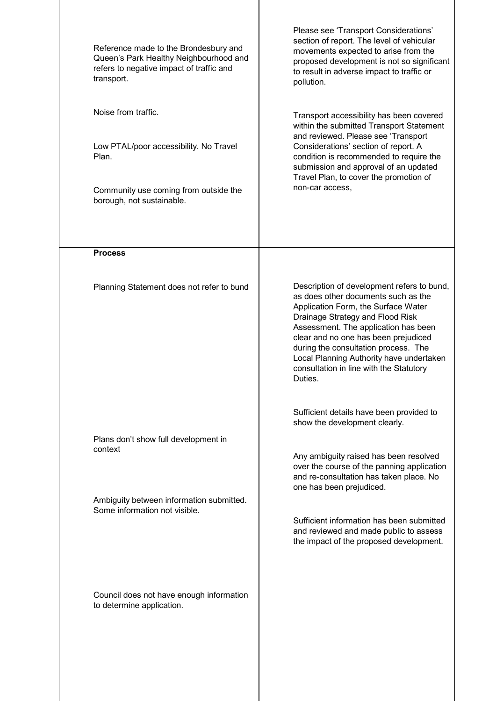| Reference made to the Brondesbury and<br>Queen's Park Healthy Neighbourhood and<br>refers to negative impact of traffic and<br>transport.    | Please see 'Transport Considerations'<br>section of report. The level of vehicular<br>movements expected to arise from the<br>proposed development is not so significant<br>to result in adverse impact to traffic or<br>pollution.                                                                                                                                                    |  |
|----------------------------------------------------------------------------------------------------------------------------------------------|----------------------------------------------------------------------------------------------------------------------------------------------------------------------------------------------------------------------------------------------------------------------------------------------------------------------------------------------------------------------------------------|--|
| Noise from traffic.<br>Low PTAL/poor accessibility. No Travel<br>Plan.<br>Community use coming from outside the<br>borough, not sustainable. | Transport accessibility has been covered<br>within the submitted Transport Statement<br>and reviewed. Please see 'Transport<br>Considerations' section of report. A<br>condition is recommended to require the<br>submission and approval of an updated<br>Travel Plan, to cover the promotion of<br>non-car access,                                                                   |  |
| <b>Process</b><br>Planning Statement does not refer to bund                                                                                  | Description of development refers to bund,<br>as does other documents such as the<br>Application Form, the Surface Water<br>Drainage Strategy and Flood Risk<br>Assessment. The application has been<br>clear and no one has been prejudiced<br>during the consultation process. The<br>Local Planning Authority have undertaken<br>consultation in line with the Statutory<br>Duties. |  |
| Plans don't show full development in<br>context<br>Ambiguity between information submitted.<br>Some information not visible.                 | Sufficient details have been provided to<br>show the development clearly.<br>Any ambiguity raised has been resolved<br>over the course of the panning application<br>and re-consultation has taken place. No<br>one has been prejudiced.<br>Sufficient information has been submitted<br>and reviewed and made public to assess<br>the impact of the proposed development.             |  |
| Council does not have enough information<br>to determine application.                                                                        |                                                                                                                                                                                                                                                                                                                                                                                        |  |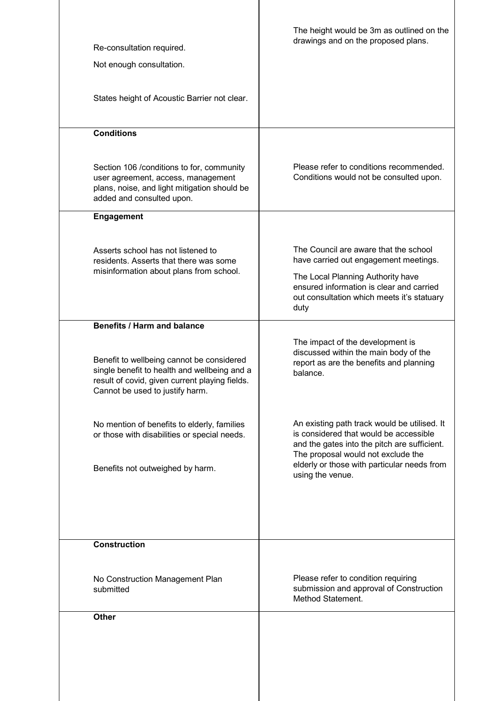| Re-consultation required.<br>Not enough consultation.                                                                                                                          | The height would be 3m as outlined on the<br>drawings and on the proposed plans.                                                                                                                                                                |
|--------------------------------------------------------------------------------------------------------------------------------------------------------------------------------|-------------------------------------------------------------------------------------------------------------------------------------------------------------------------------------------------------------------------------------------------|
| States height of Acoustic Barrier not clear.                                                                                                                                   |                                                                                                                                                                                                                                                 |
| <b>Conditions</b>                                                                                                                                                              |                                                                                                                                                                                                                                                 |
| Section 106 / conditions to for, community<br>user agreement, access, management<br>plans, noise, and light mitigation should be<br>added and consulted upon.                  | Please refer to conditions recommended.<br>Conditions would not be consulted upon.                                                                                                                                                              |
| <b>Engagement</b>                                                                                                                                                              |                                                                                                                                                                                                                                                 |
| Asserts school has not listened to<br>residents. Asserts that there was some<br>misinformation about plans from school.                                                        | The Council are aware that the school<br>have carried out engagement meetings.<br>The Local Planning Authority have<br>ensured information is clear and carried<br>out consultation which meets it's statuary<br>duty                           |
| <b>Benefits / Harm and balance</b>                                                                                                                                             |                                                                                                                                                                                                                                                 |
| Benefit to wellbeing cannot be considered<br>single benefit to health and wellbeing and a<br>result of covid, given current playing fields.<br>Cannot be used to justify harm. | The impact of the development is<br>discussed within the main body of the<br>report as are the benefits and planning<br>balance.                                                                                                                |
| No mention of benefits to elderly, families<br>or those with disabilities or special needs.<br>Benefits not outweighed by harm.                                                | An existing path track would be utilised. It<br>is considered that would be accessible<br>and the gates into the pitch are sufficient.<br>The proposal would not exclude the<br>elderly or those with particular needs from<br>using the venue. |
|                                                                                                                                                                                |                                                                                                                                                                                                                                                 |
| <b>Construction</b>                                                                                                                                                            |                                                                                                                                                                                                                                                 |
| No Construction Management Plan<br>submitted                                                                                                                                   | Please refer to condition requiring<br>submission and approval of Construction<br>Method Statement.                                                                                                                                             |
| <b>Other</b>                                                                                                                                                                   |                                                                                                                                                                                                                                                 |
|                                                                                                                                                                                |                                                                                                                                                                                                                                                 |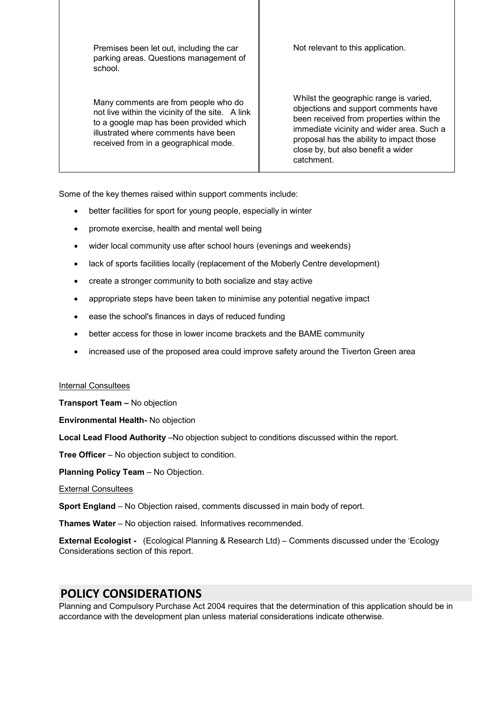Premises been let out, including the car parking areas. Questions management of school.

Many comments are from people who do not live within the vicinity of the site. A link to a google map has been provided which illustrated where comments have been received from in a geographical mode.

Not relevant to this application.

Whilst the geographic range is varied. objections and support comments have been received from properties within the immediate vicinity and wider area. Such a proposal has the ability to impact those close by, but also benefit a wider catchment.

Some of the key themes raised within support comments include:

- · better facilities for sport for young people, especially in winter
- promote exercise, health and mental well being
- · wider local community use after school hours (evenings and weekends)
- lack of sports facilities locally (replacement of the Moberly Centre development)
- create a stronger community to both socialize and stay active
- · appropriate steps have been taken to minimise any potential negative impact
- · ease the school's finances in days of reduced funding
- · better access for those in lower income brackets and the BAME community
- · increased use of the proposed area could improve safety around the Tiverton Green area

### Internal Consultees

**Transport Team –** No objection

**Environmental Health-** No objection

Local Lead Flood Authority –No objection subject to conditions discussed within the report.

**Tree Officer** – No objection subject to condition.

**Planning Policy Team** – No Objection.

External Consultees

**Sport England** – No Objection raised, comments discussed in main body of report.

**Thames Water** – No objection raised. Informatives recommended.

**External Ecologist -** (Ecological Planning & Research Ltd) – Comments discussed under the 'Ecology Considerations section of this report.

## **POLICY CONSIDERATIONS**

Planning and Compulsory Purchase Act 2004 requires that the determination of this application should be in accordance with the development plan unless material considerations indicate otherwise.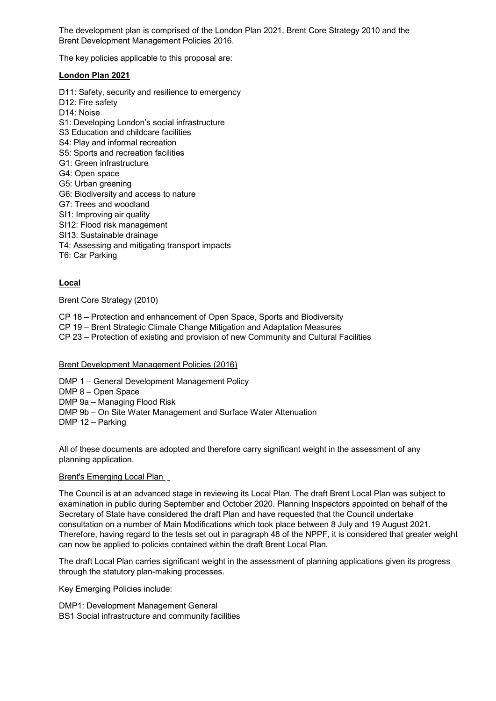The development plan is comprised of the London Plan 2021, Brent Core Strategy 2010 and the Brent Development Management Policies 2016.

The key policies applicable to this proposal are:

### **London Plan 2021**

- D11: Safety, security and resilience to emergency
- D12: Fire safety
- D14: Noise
- S1: Developing London's social infrastructure
- S3 Education and childcare facilities
- S4: Play and informal recreation
- S5: Sports and recreation facilities
- G1: Green infrastructure
- G4: Open space
- G5: Urban greening
- G6: Biodiversity and access to nature
- G7: Trees and woodland
- SI1: Improving air quality
- SI12: Flood risk management
- SI13: Sustainable drainage
- T4: Assessing and mitigating transport impacts
- T6: Car Parking

### **Local**

### Brent Core Strategy (2010)

- CP 18 Protection and enhancement of Open Space, Sports and Biodiversity
- CP 19 Brent Strategic Climate Change Mitigation and Adaptation Measures
- CP 23 Protection of existing and provision of new Community and Cultural Facilities

### Brent Development Management Policies (2016)

- DMP 1 General Development Management Policy
- DMP 8 Open Space
- DMP 9a Managing Flood Risk
- DMP 9b On Site Water Management and Surface Water Attenuation
- DMP 12 Parking

All of these documents are adopted and therefore carry significant weight in the assessment of any planning application.

### Brent's Emerging Local Plan

The Council is at an advanced stage in reviewing its Local Plan. The draft Brent Local Plan was subject to examination in public during September and October 2020. Planning Inspectors appointed on behalf of the Secretary of State have considered the draft Plan and have requested that the Council undertake consultation on a number of Main Modifications which took place between 8 July and 19 August 2021. Therefore, having regard to the tests set out in paragraph 48 of the NPPF, it is considered that greater weight can now be applied to policies contained within the draft Brent Local Plan.

The draft Local Plan carries significant weight in the assessment of planning applications given its progress through the statutory plan-making processes.

Key Emerging Policies include:

DMP1: Development Management General BS1 Social infrastructure and community facilities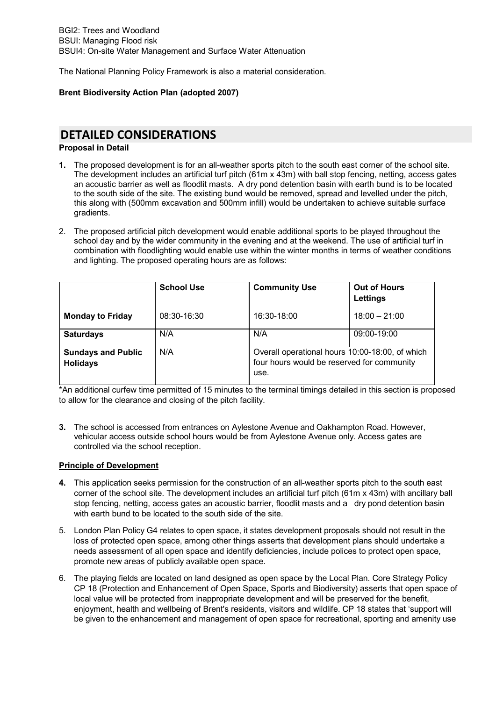The National Planning Policy Framework is also a material consideration.

### **Brent Biodiversity Action Plan (adopted 2007)**

# **DETAILED CONSIDERATIONS**

### **Proposal in Detail**

- **1.** The proposed development is for an all-weather sports pitch to the south east corner of the school site. The development includes an artificial turf pitch (61m x 43m) with ball stop fencing, netting, access gates an acoustic barrier as well as floodlit masts. A dry pond detention basin with earth bund is to be located to the south side of the site. The existing bund would be removed, spread and levelled under the pitch, this along with (500mm excavation and 500mm infill) would be undertaken to achieve suitable surface gradients.
- 2. The proposed artificial pitch development would enable additional sports to be played throughout the school day and by the wider community in the evening and at the weekend. The use of artificial turf in combination with floodlighting would enable use within the winter months in terms of weather conditions and lighting. The proposed operating hours are as follows:

|                                              | <b>School Use</b> | <b>Community Use</b>                                                                                  | <b>Out of Hours</b><br>Lettings |
|----------------------------------------------|-------------------|-------------------------------------------------------------------------------------------------------|---------------------------------|
| <b>Monday to Friday</b>                      | 08:30-16:30       | 16:30-18:00                                                                                           | $18:00 - 21:00$                 |
| <b>Saturdays</b>                             | N/A               | N/A                                                                                                   | 09:00-19:00                     |
| <b>Sundays and Public</b><br><b>Holidays</b> | N/A               | Overall operational hours 10:00-18:00, of which<br>four hours would be reserved for community<br>use. |                                 |

\*An additional curfew time permitted of 15 minutes to the terminal timings detailed in this section is proposed to allow for the clearance and closing of the pitch facility.

**3.** The school is accessed from entrances on Aylestone Avenue and Oakhampton Road. However, vehicular access outside school hours would be from Aylestone Avenue only. Access gates are controlled via the school reception.

### **Principle of Development**

- **4.** This application seeks permission for the construction of an all-weather sports pitch to the south east corner of the school site. The development includes an artificial turf pitch (61m x 43m) with ancillary ball stop fencing, netting, access gates an acoustic barrier, floodlit masts and a dry pond detention basin with earth bund to be located to the south side of the site.
- 5. London Plan Policy G4 relates to open space, it states development proposals should not result in the loss of protected open space, among other things asserts that development plans should undertake a needs assessment of all open space and identify deficiencies, include polices to protect open space, promote new areas of publicly available open space.
- 6. The playing fields are located on land designed as open space by the Local Plan. Core Strategy Policy CP 18 (Protection and Enhancement of Open Space, Sports and Biodiversity) asserts that open space of local value will be protected from inappropriate development and will be preserved for the benefit, enjoyment, health and wellbeing of Brent's residents, visitors and wildlife. CP 18 states that 'support will be given to the enhancement and management of open space for recreational, sporting and amenity use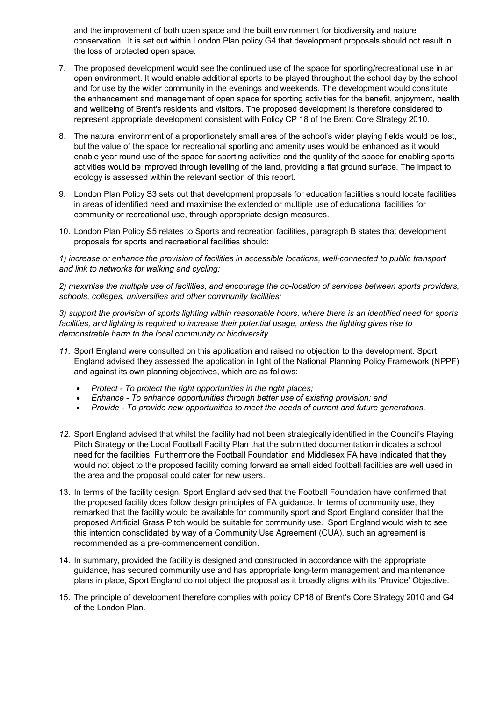and the improvement of both open space and the built environment for biodiversity and nature conservation. It is set out within London Plan policy G4 that development proposals should not result in the loss of protected open space.

- 7. The proposed development would see the continued use of the space for sporting/recreational use in an open environment. It would enable additional sports to be played throughout the school day by the school and for use by the wider community in the evenings and weekends. The development would constitute the enhancement and management of open space for sporting activities for the benefit, enjoyment, health and wellbeing of Brent's residents and visitors. The proposed development is therefore considered to represent appropriate development consistent with Policy CP 18 of the Brent Core Strategy 2010.
- 8. The natural environment of a proportionately small area of the school's wider playing fields would be lost, but the value of the space for recreational sporting and amenity uses would be enhanced as it would enable year round use of the space for sporting activities and the quality of the space for enabling sports activities would be improved through levelling of the land, providing a flat ground surface. The impact to ecology is assessed within the relevant section of this report.
- 9. London Plan Policy S3 sets out that development proposals for education facilities should locate facilities in areas of identified need and maximise the extended or multiple use of educational facilities for community or recreational use, through appropriate design measures.
- 10. London Plan Policy S5 relates to Sports and recreation facilities, paragraph B states that development proposals for sports and recreational facilities should:

*1) increase or enhance the provision of facilities in accessible locations, well-connected to public transport and link to networks for walking and cycling;*

*2) maximise the multiple use of facilities, and encourage the co-location of services between sports providers, schools, colleges, universities and other community facilities;*

*3) support the provision of sports lighting within reasonable hours, where there is an identified need for sports facilities, and lighting is required to increase their potential usage, unless the lighting gives rise to demonstrable harm to the local community or biodiversity.*

- *11.* Sport England were consulted on this application and raised no objection to the development. Sport England advised they assessed the application in light of the National Planning Policy Framework (NPPF) and against its own planning objectives, which are as follows:
	- · *Protect To protect the right opportunities in the right places;*
	- · *Enhance To enhance opportunities through better use of existing provision; and*
	- · *Provide To provide new opportunities to meet the needs of current and future generations.*
- *12.* Sport England advised that whilst the facility had not been strategically identified in the Council's Playing Pitch Strategy or the Local Football Facility Plan that the submitted documentation indicates a school need for the facilities. Furthermore the Football Foundation and Middlesex FA have indicated that they would not object to the proposed facility coming forward as small sided football facilities are well used in the area and the proposal could cater for new users.
- 13. In terms of the facility design, Sport England advised that the Football Foundation have confirmed that the proposed facility does follow design principles of FA guidance. In terms of community use, they remarked that the facility would be available for community sport and Sport England consider that the proposed Artificial Grass Pitch would be suitable for community use. Sport England would wish to see this intention consolidated by way of a Community Use Agreement (CUA), such an agreement is recommended as a pre-commencement condition.
- 14. In summary, provided the facility is designed and constructed in accordance with the appropriate guidance, has secured community use and has appropriate long-term management and maintenance plans in place, Sport England do not object the proposal as it broadly aligns with its 'Provide' Objective.
- 15. The principle of development therefore complies with policy CP18 of Brent's Core Strategy 2010 and G4 of the London Plan.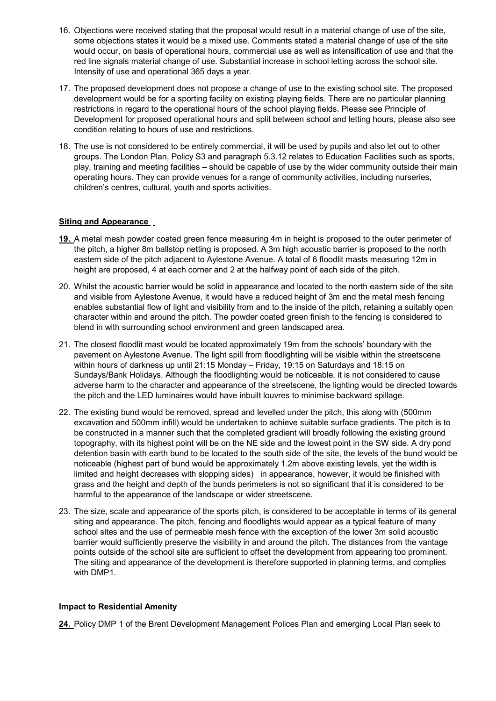- 16. Objections were received stating that the proposal would result in a material change of use of the site, some objections states it would be a mixed use. Comments stated a material change of use of the site would occur, on basis of operational hours, commercial use as well as intensification of use and that the red line signals material change of use. Substantial increase in school letting across the school site. Intensity of use and operational 365 days a year.
- 17. The proposed development does not propose a change of use to the existing school site. The proposed development would be for a sporting facility on existing playing fields. There are no particular planning restrictions in regard to the operational hours of the school playing fields. Please see Principle of Development for proposed operational hours and split between school and letting hours, please also see condition relating to hours of use and restrictions.
- 18. The use is not considered to be entirely commercial, it will be used by pupils and also let out to other groups. The London Plan, Policy S3 and paragraph 5.3.12 relates to Education Facilities such as sports, play, training and meeting facilities – should be capable of use by the wider community outside their main operating hours. They can provide venues for a range of community activities, including nurseries, children's centres, cultural, youth and sports activities.

### **Siting and Appearance**

- **19.** A metal mesh powder coated green fence measuring 4m in height is proposed to the outer perimeter of the pitch, a higher 8m ballstop netting is proposed. A 3m high acoustic barrier is proposed to the north eastern side of the pitch adjacent to Aylestone Avenue. A total of 6 floodlit masts measuring 12m in height are proposed, 4 at each corner and 2 at the halfway point of each side of the pitch.
- 20. Whilst the acoustic barrier would be solid in appearance and located to the north eastern side of the site and visible from Aylestone Avenue, it would have a reduced height of 3m and the metal mesh fencing enables substantial flow of light and visibility from and to the inside of the pitch, retaining a suitably open character within and around the pitch. The powder coated green finish to the fencing is considered to blend in with surrounding school environment and green landscaped area.
- 21. The closest floodlit mast would be located approximately 19m from the schools' boundary with the pavement on Aylestone Avenue. The light spill from floodlighting will be visible within the streetscene within hours of darkness up until 21:15 Monday – Friday, 19:15 on Saturdays and 18:15 on Sundays/Bank Holidays. Although the floodlighting would be noticeable, it is not considered to cause adverse harm to the character and appearance of the streetscene, the lighting would be directed towards the pitch and the LED luminaires would have inbuilt louvres to minimise backward spillage.
- 22. The existing bund would be removed, spread and levelled under the pitch, this along with (500mm excavation and 500mm infill) would be undertaken to achieve suitable surface gradients. The pitch is to be constructed in a manner such that the completed gradient will broadly following the existing ground topography, with its highest point will be on the NE side and the lowest point in the SW side. A dry pond detention basin with earth bund to be located to the south side of the site, the levels of the bund would be noticeable (highest part of bund would be approximately 1.2m above existing levels, yet the width is limited and height decreases with slopping sides) in appearance, however, it would be finished with grass and the height and depth of the bunds perimeters is not so significant that it is considered to be harmful to the appearance of the landscape or wider streetscene.
- 23. The size, scale and appearance of the sports pitch, is considered to be acceptable in terms of its general siting and appearance. The pitch, fencing and floodlights would appear as a typical feature of many school sites and the use of permeable mesh fence with the exception of the lower 3m solid acoustic barrier would sufficiently preserve the visibility in and around the pitch. The distances from the vantage points outside of the school site are sufficient to offset the development from appearing too prominent. The siting and appearance of the development is therefore supported in planning terms, and complies with DMP1.

### **Impact to Residential Amenity**

**24.** Policy DMP 1 of the Brent Development Management Polices Plan and emerging Local Plan seek to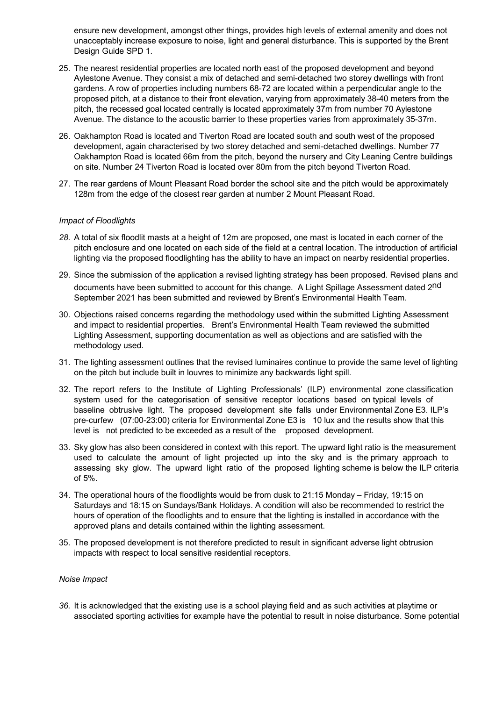ensure new development, amongst other things, provides high levels of external amenity and does not unacceptably increase exposure to noise, light and general disturbance. This is supported by the Brent Design Guide SPD 1.

- 25. The nearest residential properties are located north east of the proposed development and beyond Aylestone Avenue. They consist a mix of detached and semi-detached two storey dwellings with front gardens. A row of properties including numbers 68-72 are located within a perpendicular angle to the proposed pitch, at a distance to their front elevation, varying from approximately 38-40 meters from the pitch, the recessed goal located centrally is located approximately 37m from number 70 Aylestone Avenue. The distance to the acoustic barrier to these properties varies from approximately 35-37m.
- 26. Oakhampton Road is located and Tiverton Road are located south and south west of the proposed development, again characterised by two storey detached and semi-detached dwellings. Number 77 Oakhampton Road is located 66m from the pitch, beyond the nursery and City Leaning Centre buildings on site. Number 24 Tiverton Road is located over 80m from the pitch beyond Tiverton Road.
- 27. The rear gardens of Mount Pleasant Road border the school site and the pitch would be approximately 128m from the edge of the closest rear garden at number 2 Mount Pleasant Road.

### *Impact of Floodlights*

- *28.* A total of six floodlit masts at a height of 12m are proposed, one mast is located in each corner of the pitch enclosure and one located on each side of the field at a central location. The introduction of artificial lighting via the proposed floodlighting has the ability to have an impact on nearby residential properties.
- 29. Since the submission of the application a revised lighting strategy has been proposed. Revised plans and documents have been submitted to account for this change. A Light Spillage Assessment dated 2<sup>nd</sup> September 2021 has been submitted and reviewed by Brent's Environmental Health Team.
- 30. Objections raised concerns regarding the methodology used within the submitted Lighting Assessment and impact to residential properties. Brent's Environmental Health Team reviewed the submitted Lighting Assessment, supporting documentation as well as objections and are satisfied with the methodology used.
- 31. The lighting assessment outlines that the revised luminaires continue to provide the same level of lighting on the pitch but include built in louvres to minimize any backwards light spill.
- 32. The report refers to the Institute of Lighting Professionals' (ILP) environmental zone classification system used for the categorisation of sensitive receptor locations based on typical levels of baseline obtrusive light. The proposed development site falls under Environmental Zone E3. ILP's pre-curfew (07:00-23:00) criteria for Environmental Zone E3 is 10 lux and the results show that this level is not predicted to be exceeded as a result of the proposed development.
- 33. Sky glow has also been considered in context with this report. The upward light ratio is the measurement used to calculate the amount of light projected up into the sky and is the primary approach to assessing sky glow. The upward light ratio of the proposed lighting scheme is below the ILP criteria of 5%.
- 34. The operational hours of the floodlights would be from dusk to 21:15 Monday Friday, 19:15 on Saturdays and 18:15 on Sundays/Bank Holidays. A condition will also be recommended to restrict the hours of operation of the floodlights and to ensure that the lighting is installed in accordance with the approved plans and details contained within the lighting assessment.
- 35. The proposed development is not therefore predicted to result in significant adverse light obtrusion impacts with respect to local sensitive residential receptors.

#### *Noise Impact*

*36.* It is acknowledged that the existing use is a school playing field and as such activities at playtime or associated sporting activities for example have the potential to result in noise disturbance. Some potential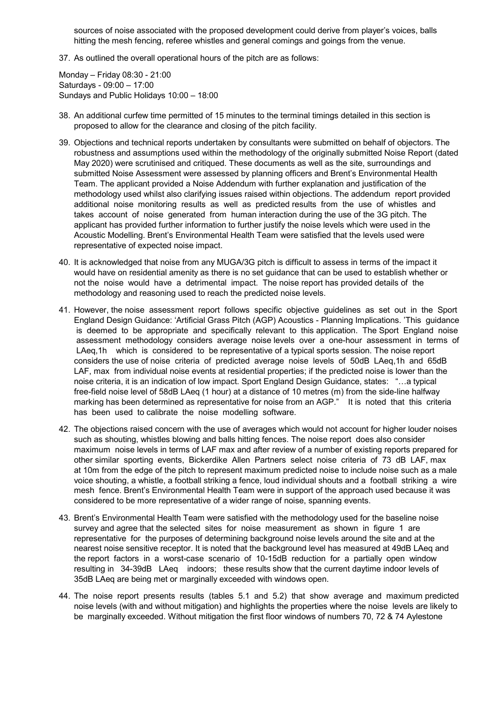sources of noise associated with the proposed development could derive from player's voices, balls hitting the mesh fencing, referee whistles and general comings and goings from the venue.

37. As outlined the overall operational hours of the pitch are as follows:

Monday – Friday 08:30 - 21:00 Saturdays - 09:00 – 17:00 Sundays and Public Holidays 10:00 – 18:00

- 38. An additional curfew time permitted of 15 minutes to the terminal timings detailed in this section is proposed to allow for the clearance and closing of the pitch facility.
- 39. Objections and technical reports undertaken by consultants were submitted on behalf of objectors. The robustness and assumptions used within the methodology of the originally submitted Noise Report (dated May 2020) were scrutinised and critiqued. These documents as well as the site, surroundings and submitted Noise Assessment were assessed by planning officers and Brent's Environmental Health Team. The applicant provided a Noise Addendum with further explanation and justification of the methodology used whilst also clarifying issues raised within objections. The addendum report provided additional noise monitoring results as well as predicted results from the use of whistles and takes account of noise generated from human interaction during the use of the 3G pitch. The applicant has provided further information to further justify the noise levels which were used in the Acoustic Modelling. Brent's Environmental Health Team were satisfied that the levels used were representative of expected noise impact.
- 40. It is acknowledged that noise from any MUGA/3G pitch is difficult to assess in terms of the impact it would have on residential amenity as there is no set guidance that can be used to establish whether or not the noise would have a detrimental impact. The noise report has provided details of the methodology and reasoning used to reach the predicted noise levels.
- 41. However, the noise assessment report follows specific objective guidelines as set out in the Sport England Design Guidance: 'Artificial Grass Pitch (AGP) Acoustics - Planning Implications. 'This guidance is deemed to be appropriate and specifically relevant to this application. The Sport England noise assessment methodology considers average noise levels over a one-hour assessment in terms of LAeq,1h which is considered to be representative of a typical sports session. The noise report considers the use of noise criteria of predicted average noise levels of 50dB LAeq,1h and 65dB LAF, max from individual noise events at residential properties; if the predicted noise is lower than the noise criteria, it is an indication of low impact. Sport England Design Guidance, states: "…a typical free-field noise level of 58dB LAeq (1 hour) at a distance of 10 metres (m) from the side-line halfway marking has been determined as representative for noise from an AGP." It is noted that this criteria has been used to calibrate the noise modelling software.
- 42. The objections raised concern with the use of averages which would not account for higher louder noises such as shouting, whistles blowing and balls hitting fences. The noise report does also consider maximum noise levels in terms of LAF max and after review of a number of existing reports prepared for other similar sporting events, Bickerdike Allen Partners select noise criteria of 73 dB LAF, max at 10m from the edge of the pitch to represent maximum predicted noise to include noise such as a male voice shouting, a whistle, a football striking a fence, loud individual shouts and a football striking a wire mesh fence. Brent's Environmental Health Team were in support of the approach used because it was considered to be more representative of a wider range of noise, spanning events.
- 43. Brent's Environmental Health Team were satisfied with the methodology used for the baseline noise survey and agree that the selected sites for noise measurement as shown in figure 1 are representative for the purposes of determining background noise levels around the site and at the nearest noise sensitive receptor. It is noted that the background level has measured at 49dB LAeq and the report factors in a worst-case scenario of 10-15dB reduction for a partially open window resulting in 34-39dB LAeq indoors; these results show that the current daytime indoor levels of 35dB LAeq are being met or marginally exceeded with windows open.
- 44. The noise report presents results (tables 5.1 and 5.2) that show average and maximum predicted noise levels (with and without mitigation) and highlights the properties where the noise levels are likely to be marginally exceeded. Without mitigation the first floor windows of numbers 70, 72 & 74 Aylestone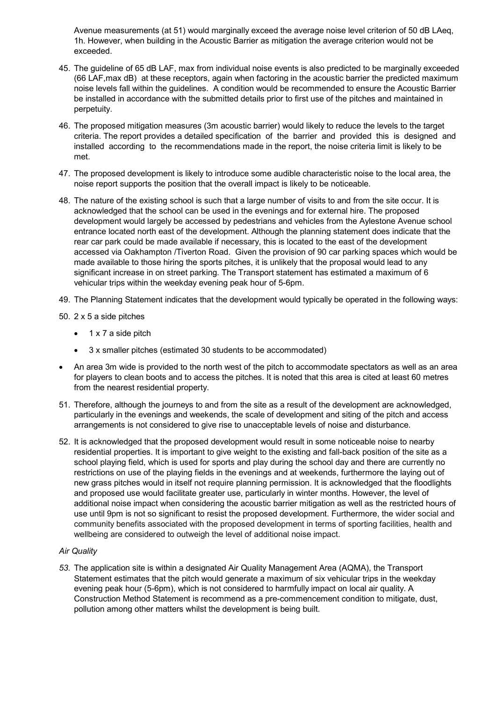Avenue measurements (at 51) would marginally exceed the average noise level criterion of 50 dB LAeq, 1h. However, when building in the Acoustic Barrier as mitigation the average criterion would not be exceeded.

- 45. The guideline of 65 dB LAF, max from individual noise events is also predicted to be marginally exceeded (66 LAF,max dB) at these receptors, again when factoring in the acoustic barrier the predicted maximum noise levels fall within the guidelines. A condition would be recommended to ensure the Acoustic Barrier be installed in accordance with the submitted details prior to first use of the pitches and maintained in perpetuity.
- 46. The proposed mitigation measures (3m acoustic barrier) would likely to reduce the levels to the target criteria. The report provides a detailed specification of the barrier and provided this is designed and installed according to the recommendations made in the report, the noise criteria limit is likely to be met.
- 47. The proposed development is likely to introduce some audible characteristic noise to the local area, the noise report supports the position that the overall impact is likely to be noticeable.
- 48. The nature of the existing school is such that a large number of visits to and from the site occur. It is acknowledged that the school can be used in the evenings and for external hire. The proposed development would largely be accessed by pedestrians and vehicles from the Aylestone Avenue school entrance located north east of the development. Although the planning statement does indicate that the rear car park could be made available if necessary, this is located to the east of the development accessed via Oakhampton /Tiverton Road. Given the provision of 90 car parking spaces which would be made available to those hiring the sports pitches, it is unlikely that the proposal would lead to any significant increase in on street parking. The Transport statement has estimated a maximum of 6 vehicular trips within the weekday evening peak hour of 5-6pm.
- 49. The Planning Statement indicates that the development would typically be operated in the following ways:
- 50. 2 x 5 a side pitches
	- $\bullet$  1 x 7 a side pitch
	- · 3 x smaller pitches (estimated 30 students to be accommodated)
- An area 3m wide is provided to the north west of the pitch to accommodate spectators as well as an area for players to clean boots and to access the pitches. It is noted that this area is cited at least 60 metres from the nearest residential property.
- 51. Therefore, although the journeys to and from the site as a result of the development are acknowledged, particularly in the evenings and weekends, the scale of development and siting of the pitch and access arrangements is not considered to give rise to unacceptable levels of noise and disturbance.
- 52. It is acknowledged that the proposed development would result in some noticeable noise to nearby residential properties. It is important to give weight to the existing and fall-back position of the site as a school playing field, which is used for sports and play during the school day and there are currently no restrictions on use of the playing fields in the evenings and at weekends, furthermore the laying out of new grass pitches would in itself not require planning permission. It is acknowledged that the floodlights and proposed use would facilitate greater use, particularly in winter months. However, the level of additional noise impact when considering the acoustic barrier mitigation as well as the restricted hours of use until 9pm is not so significant to resist the proposed development. Furthermore, the wider social and community benefits associated with the proposed development in terms of sporting facilities, health and wellbeing are considered to outweigh the level of additional noise impact.

### *Air Quality*

*53.* The application site is within a designated Air Quality Management Area (AQMA), the Transport Statement estimates that the pitch would generate a maximum of six vehicular trips in the weekday evening peak hour (5-6pm), which is not considered to harmfully impact on local air quality. A Construction Method Statement is recommend as a pre-commencement condition to mitigate, dust, pollution among other matters whilst the development is being built.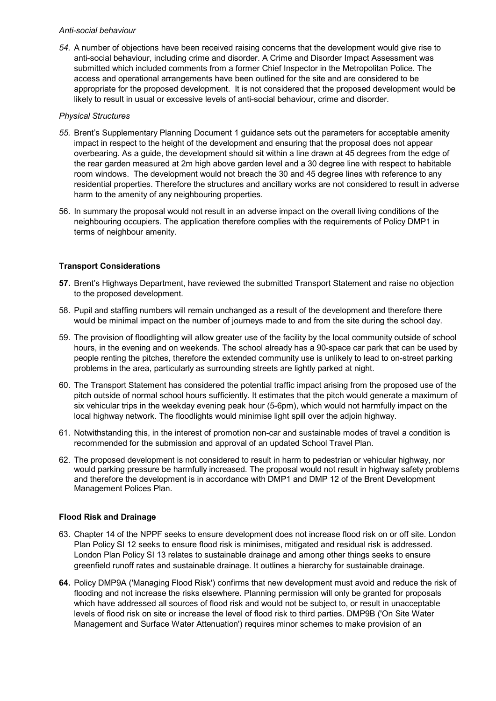### *Anti-social behaviour*

*54.* A number of objections have been received raising concerns that the development would give rise to anti-social behaviour, including crime and disorder. A Crime and Disorder Impact Assessment was submitted which included comments from a former Chief Inspector in the Metropolitan Police. The access and operational arrangements have been outlined for the site and are considered to be appropriate for the proposed development. It is not considered that the proposed development would be likely to result in usual or excessive levels of anti-social behaviour, crime and disorder.

### *Physical Structures*

- *55.* Brent's Supplementary Planning Document 1 guidance sets out the parameters for acceptable amenity impact in respect to the height of the development and ensuring that the proposal does not appear overbearing. As a guide, the development should sit within a line drawn at 45 degrees from the edge of the rear garden measured at 2m high above garden level and a 30 degree line with respect to habitable room windows. The development would not breach the 30 and 45 degree lines with reference to any residential properties. Therefore the structures and ancillary works are not considered to result in adverse harm to the amenity of any neighbouring properties.
- 56. In summary the proposal would not result in an adverse impact on the overall living conditions of the neighbouring occupiers. The application therefore complies with the requirements of Policy DMP1 in terms of neighbour amenity.

### **Transport Considerations**

- **57.** Brent's Highways Department, have reviewed the submitted Transport Statement and raise no objection to the proposed development.
- 58. Pupil and staffing numbers will remain unchanged as a result of the development and therefore there would be minimal impact on the number of journeys made to and from the site during the school day.
- 59. The provision of floodlighting will allow greater use of the facility by the local community outside of school hours, in the evening and on weekends. The school already has a 90-space car park that can be used by people renting the pitches, therefore the extended community use is unlikely to lead to on-street parking problems in the area, particularly as surrounding streets are lightly parked at night.
- 60. The Transport Statement has considered the potential traffic impact arising from the proposed use of the pitch outside of normal school hours sufficiently. It estimates that the pitch would generate a maximum of six vehicular trips in the weekday evening peak hour (5-6pm), which would not harmfully impact on the local highway network. The floodlights would minimise light spill over the adjoin highway.
- 61. Notwithstanding this, in the interest of promotion non-car and sustainable modes of travel a condition is recommended for the submission and approval of an updated School Travel Plan.
- 62. The proposed development is not considered to result in harm to pedestrian or vehicular highway, nor would parking pressure be harmfully increased. The proposal would not result in highway safety problems and therefore the development is in accordance with DMP1 and DMP 12 of the Brent Development Management Polices Plan.

### **Flood Risk and Drainage**

- 63. Chapter 14 of the NPPF seeks to ensure development does not increase flood risk on or off site. London Plan Policy SI 12 seeks to ensure flood risk is minimises, mitigated and residual risk is addressed. London Plan Policy SI 13 relates to sustainable drainage and among other things seeks to ensure greenfield runoff rates and sustainable drainage. It outlines a hierarchy for sustainable drainage.
- **64.** Policy DMP9A ('Managing Flood Risk') confirms that new development must avoid and reduce the risk of flooding and not increase the risks elsewhere. Planning permission will only be granted for proposals which have addressed all sources of flood risk and would not be subject to, or result in unacceptable levels of flood risk on site or increase the level of flood risk to third parties. DMP9B ('On Site Water Management and Surface Water Attenuation') requires minor schemes to make provision of an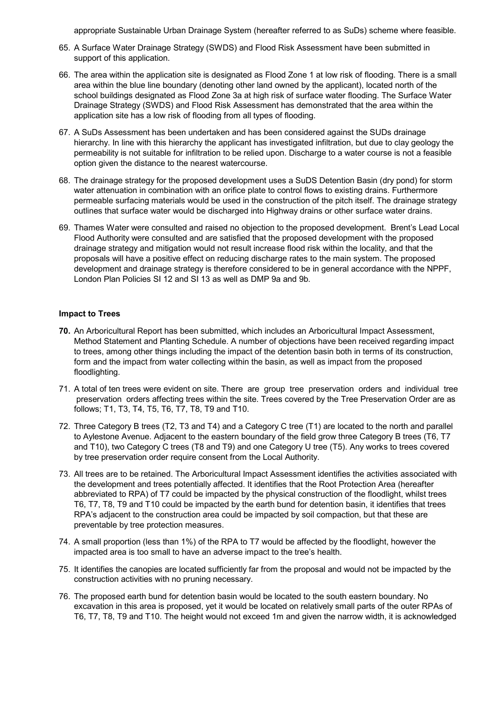appropriate Sustainable Urban Drainage System (hereafter referred to as SuDs) scheme where feasible.

- 65. A Surface Water Drainage Strategy (SWDS) and Flood Risk Assessment have been submitted in support of this application.
- 66. The area within the application site is designated as Flood Zone 1 at low risk of flooding. There is a small area within the blue line boundary (denoting other land owned by the applicant), located north of the school buildings designated as Flood Zone 3a at high risk of surface water flooding. The Surface Water Drainage Strategy (SWDS) and Flood Risk Assessment has demonstrated that the area within the application site has a low risk of flooding from all types of flooding.
- 67. A SuDs Assessment has been undertaken and has been considered against the SUDs drainage hierarchy. In line with this hierarchy the applicant has investigated infiltration, but due to clay geology the permeability is not suitable for infiltration to be relied upon. Discharge to a water course is not a feasible option given the distance to the nearest watercourse.
- 68. The drainage strategy for the proposed development uses a SuDS Detention Basin (dry pond) for storm water attenuation in combination with an orifice plate to control flows to existing drains. Furthermore permeable surfacing materials would be used in the construction of the pitch itself. The drainage strategy outlines that surface water would be discharged into Highway drains or other surface water drains.
- 69. Thames Water were consulted and raised no objection to the proposed development. Brent's Lead Local Flood Authority were consulted and are satisfied that the proposed development with the proposed drainage strategy and mitigation would not result increase flood risk within the locality, and that the proposals will have a positive effect on reducing discharge rates to the main system. The proposed development and drainage strategy is therefore considered to be in general accordance with the NPPF, London Plan Policies SI 12 and SI 13 as well as DMP 9a and 9b.

### **Impact to Trees**

- **70.** An Arboricultural Report has been submitted, which includes an Arboricultural Impact Assessment, Method Statement and Planting Schedule. A number of objections have been received regarding impact to trees, among other things including the impact of the detention basin both in terms of its construction, form and the impact from water collecting within the basin, as well as impact from the proposed floodlighting.
- 71. A total of ten trees were evident on site. There are group tree preservation orders and individual tree preservation orders affecting trees within the site. Trees covered by the Tree Preservation Order are as follows; T1, T3, T4, T5, T6, T7, T8, T9 and T10.
- 72. Three Category B trees (T2, T3 and T4) and a Category C tree (T1) are located to the north and parallel to Aylestone Avenue. Adjacent to the eastern boundary of the field grow three Category B trees (T6, T7 and T10), two Category C trees (T8 and T9) and one Category U tree (T5). Any works to trees covered by tree preservation order require consent from the Local Authority.
- 73. All trees are to be retained. The Arboricultural Impact Assessment identifies the activities associated with the development and trees potentially affected. It identifies that the Root Protection Area (hereafter abbreviated to RPA) of T7 could be impacted by the physical construction of the floodlight, whilst trees T6, T7, T8, T9 and T10 could be impacted by the earth bund for detention basin, it identifies that trees RPA's adjacent to the construction area could be impacted by soil compaction, but that these are preventable by tree protection measures.
- 74. A small proportion (less than 1%) of the RPA to T7 would be affected by the floodlight, however the impacted area is too small to have an adverse impact to the tree's health.
- 75. It identifies the canopies are located sufficiently far from the proposal and would not be impacted by the construction activities with no pruning necessary.
- 76. The proposed earth bund for detention basin would be located to the south eastern boundary. No excavation in this area is proposed, yet it would be located on relatively small parts of the outer RPAs of T6, T7, T8, T9 and T10. The height would not exceed 1m and given the narrow width, it is acknowledged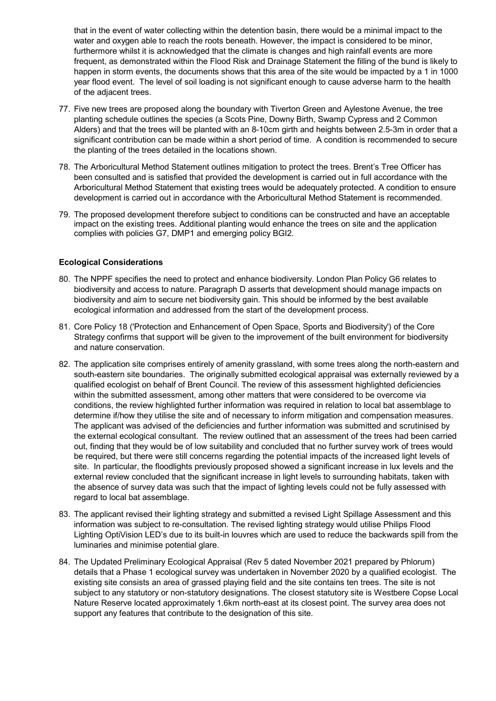that in the event of water collecting within the detention basin, there would be a minimal impact to the water and oxygen able to reach the roots beneath. However, the impact is considered to be minor, furthermore whilst it is acknowledged that the climate is changes and high rainfall events are more frequent, as demonstrated within the Flood Risk and Drainage Statement the filling of the bund is likely to happen in storm events, the documents shows that this area of the site would be impacted by a 1 in 1000 year flood event. The level of soil loading is not significant enough to cause adverse harm to the health of the adjacent trees.

- 77. Five new trees are proposed along the boundary with Tiverton Green and Aylestone Avenue, the tree planting schedule outlines the species (a Scots Pine, Downy Birth, Swamp Cypress and 2 Common Alders) and that the trees will be planted with an 8-10cm girth and heights between 2.5-3m in order that a significant contribution can be made within a short period of time. A condition is recommended to secure the planting of the trees detailed in the locations shown.
- 78. The Arboricultural Method Statement outlines mitigation to protect the trees. Brent's Tree Officer has been consulted and is satisfied that provided the development is carried out in full accordance with the Arboricultural Method Statement that existing trees would be adequately protected. A condition to ensure development is carried out in accordance with the Arboricultural Method Statement is recommended.
- 79. The proposed development therefore subject to conditions can be constructed and have an acceptable impact on the existing trees. Additional planting would enhance the trees on site and the application complies with policies G7, DMP1 and emerging policy BGI2.

### **Ecological Considerations**

- 80. The NPPF specifies the need to protect and enhance biodiversity. London Plan Policy G6 relates to biodiversity and access to nature. Paragraph D asserts that development should manage impacts on biodiversity and aim to secure net biodiversity gain. This should be informed by the best available ecological information and addressed from the start of the development process.
- 81. Core Policy 18 ('Protection and Enhancement of Open Space, Sports and Biodiversity') of the Core Strategy confirms that support will be given to the improvement of the built environment for biodiversity and nature conservation.
- 82. The application site comprises entirely of amenity grassland, with some trees along the north-eastern and south-eastern site boundaries. The originally submitted ecological appraisal was externally reviewed by a qualified ecologist on behalf of Brent Council. The review of this assessment highlighted deficiencies within the submitted assessment, among other matters that were considered to be overcome via conditions, the review highlighted further information was required in relation to local bat assemblage to determine if/how they utilise the site and of necessary to inform mitigation and compensation measures. The applicant was advised of the deficiencies and further information was submitted and scrutinised by the external ecological consultant. The review outlined that an assessment of the trees had been carried out, finding that they would be of low suitability and concluded that no further survey work of trees would be required, but there were still concerns regarding the potential impacts of the increased light levels of site. In particular, the floodlights previously proposed showed a significant increase in lux levels and the external review concluded that the significant increase in light levels to surrounding habitats, taken with the absence of survey data was such that the impact of lighting levels could not be fully assessed with regard to local bat assemblage.
- 83. The applicant revised their lighting strategy and submitted a revised Light Spillage Assessment and this information was subject to re-consultation. The revised lighting strategy would utilise Philips Flood Lighting OptiVision LED's due to its built-in louvres which are used to reduce the backwards spill from the luminaries and minimise potential glare.
- 84. The Updated Preliminary Ecological Appraisal (Rev 5 dated November 2021 prepared by Phlorum) details that a Phase 1 ecological survey was undertaken in November 2020 by a qualified ecologist. The existing site consists an area of grassed playing field and the site contains ten trees. The site is not subject to any statutory or non-statutory designations. The closest statutory site is Westbere Copse Local Nature Reserve located approximately 1.6km north-east at its closest point. The survey area does not support any features that contribute to the designation of this site.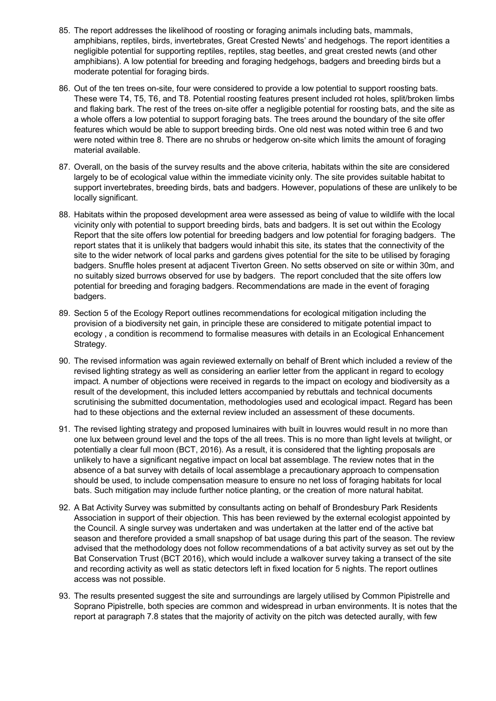- 85. The report addresses the likelihood of roosting or foraging animals including bats, mammals, amphibians, reptiles, birds, invertebrates, Great Crested Newts' and hedgehogs. The report identities a negligible potential for supporting reptiles, reptiles, stag beetles, and great crested newts (and other amphibians). A low potential for breeding and foraging hedgehogs, badgers and breeding birds but a moderate potential for foraging birds.
- 86. Out of the ten trees on-site, four were considered to provide a low potential to support roosting bats. These were T4, T5, T6, and T8. Potential roosting features present included rot holes, split/broken limbs and flaking bark. The rest of the trees on-site offer a negligible potential for roosting bats, and the site as a whole offers a low potential to support foraging bats. The trees around the boundary of the site offer features which would be able to support breeding birds. One old nest was noted within tree 6 and two were noted within tree 8. There are no shrubs or hedgerow on-site which limits the amount of foraging material available.
- 87. Overall, on the basis of the survey results and the above criteria, habitats within the site are considered largely to be of ecological value within the immediate vicinity only. The site provides suitable habitat to support invertebrates, breeding birds, bats and badgers. However, populations of these are unlikely to be locally significant.
- 88. Habitats within the proposed development area were assessed as being of value to wildlife with the local vicinity only with potential to support breeding birds, bats and badgers. It is set out within the Ecology Report that the site offers low potential for breeding badgers and low potential for foraging badgers. The report states that it is unlikely that badgers would inhabit this site, its states that the connectivity of the site to the wider network of local parks and gardens gives potential for the site to be utilised by foraging badgers. Snuffle holes present at adjacent Tiverton Green. No setts observed on site or within 30m, and no suitably sized burrows observed for use by badgers. The report concluded that the site offers low potential for breeding and foraging badgers. Recommendations are made in the event of foraging badgers.
- 89. Section 5 of the Ecology Report outlines recommendations for ecological mitigation including the provision of a biodiversity net gain, in principle these are considered to mitigate potential impact to ecology , a condition is recommend to formalise measures with details in an Ecological Enhancement Strategy.
- 90. The revised information was again reviewed externally on behalf of Brent which included a review of the revised lighting strategy as well as considering an earlier letter from the applicant in regard to ecology impact. A number of objections were received in regards to the impact on ecology and biodiversity as a result of the development, this included letters accompanied by rebuttals and technical documents scrutinising the submitted documentation, methodologies used and ecological impact. Regard has been had to these objections and the external review included an assessment of these documents.
- 91. The revised lighting strategy and proposed luminaires with built in louvres would result in no more than one lux between ground level and the tops of the all trees. This is no more than light levels at twilight, or potentially a clear full moon (BCT, 2016). As a result, it is considered that the lighting proposals are unlikely to have a significant negative impact on local bat assemblage. The review notes that in the absence of a bat survey with details of local assemblage a precautionary approach to compensation should be used, to include compensation measure to ensure no net loss of foraging habitats for local bats. Such mitigation may include further notice planting, or the creation of more natural habitat.
- 92. A Bat Activity Survey was submitted by consultants acting on behalf of Brondesbury Park Residents Association in support of their objection. This has been reviewed by the external ecologist appointed by the Council. A single survey was undertaken and was undertaken at the latter end of the active bat season and therefore provided a small snapshop of bat usage during this part of the season. The review advised that the methodology does not follow recommendations of a bat activity survey as set out by the Bat Conservation Trust (BCT 2016), which would include a walkover survey taking a transect of the site and recording activity as well as static detectors left in fixed location for 5 nights. The report outlines access was not possible.
- 93. The results presented suggest the site and surroundings are largely utilised by Common Pipistrelle and Soprano Pipistrelle, both species are common and widespread in urban environments. It is notes that the report at paragraph 7.8 states that the majority of activity on the pitch was detected aurally, with few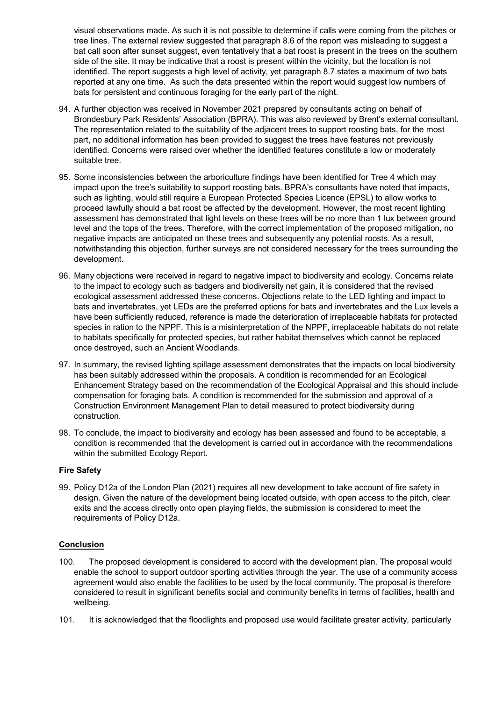visual observations made. As such it is not possible to determine if calls were coming from the pitches or tree lines. The external review suggested that paragraph 8.6 of the report was misleading to suggest a bat call soon after sunset suggest, even tentatively that a bat roost is present in the trees on the southern side of the site. It may be indicative that a roost is present within the vicinity, but the location is not identified. The report suggests a high level of activity, yet paragraph 8.7 states a maximum of two bats reported at any one time. As such the data presented within the report would suggest low numbers of bats for persistent and continuous foraging for the early part of the night.

- 94. A further objection was received in November 2021 prepared by consultants acting on behalf of Brondesbury Park Residents' Association (BPRA). This was also reviewed by Brent's external consultant. The representation related to the suitability of the adjacent trees to support roosting bats, for the most part, no additional information has been provided to suggest the trees have features not previously identified. Concerns were raised over whether the identified features constitute a low or moderately suitable tree.
- 95. Some inconsistencies between the arboriculture findings have been identified for Tree 4 which may impact upon the tree's suitability to support roosting bats. BPRA's consultants have noted that impacts, such as lighting, would still require a European Protected Species Licence (EPSL) to allow works to proceed lawfully should a bat roost be affected by the development. However, the most recent lighting assessment has demonstrated that light levels on these trees will be no more than 1 lux between ground level and the tops of the trees. Therefore, with the correct implementation of the proposed mitigation, no negative impacts are anticipated on these trees and subsequently any potential roosts. As a result, notwithstanding this objection, further surveys are not considered necessary for the trees surrounding the development.
- 96. Many objections were received in regard to negative impact to biodiversity and ecology. Concerns relate to the impact to ecology such as badgers and biodiversity net gain, it is considered that the revised ecological assessment addressed these concerns. Objections relate to the LED lighting and impact to bats and invertebrates, yet LEDs are the preferred options for bats and invertebrates and the Lux levels a have been sufficiently reduced, reference is made the deterioration of irreplaceable habitats for protected species in ration to the NPPF. This is a misinterpretation of the NPPF, irreplaceable habitats do not relate to habitats specifically for protected species, but rather habitat themselves which cannot be replaced once destroyed, such an Ancient Woodlands.
- 97. In summary, the revised lighting spillage assessment demonstrates that the impacts on local biodiversity has been suitably addressed within the proposals. A condition is recommended for an Ecological Enhancement Strategy based on the recommendation of the Ecological Appraisal and this should include compensation for foraging bats. A condition is recommended for the submission and approval of a Construction Environment Management Plan to detail measured to protect biodiversity during construction.
- 98. To conclude, the impact to biodiversity and ecology has been assessed and found to be acceptable, a condition is recommended that the development is carried out in accordance with the recommendations within the submitted Ecology Report.

### **Fire Safety**

99. Policy D12a of the London Plan (2021) requires all new development to take account of fire safety in design. Given the nature of the development being located outside, with open access to the pitch, clear exits and the access directly onto open playing fields, the submission is considered to meet the requirements of Policy D12a.

### **Conclusion**

- 100. The proposed development is considered to accord with the development plan. The proposal would enable the school to support outdoor sporting activities through the year. The use of a community access agreement would also enable the facilities to be used by the local community. The proposal is therefore considered to result in significant benefits social and community benefits in terms of facilities, health and wellbeing.
- 101. It is acknowledged that the floodlights and proposed use would facilitate greater activity, particularly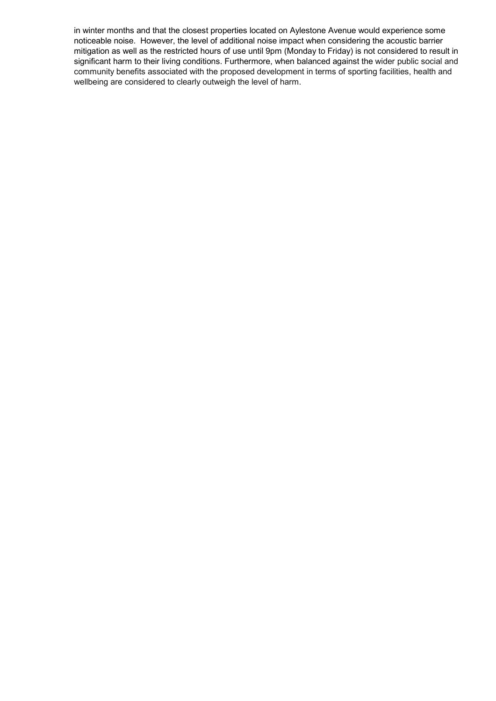in winter months and that the closest properties located on Aylestone Avenue would experience some noticeable noise. However, the level of additional noise impact when considering the acoustic barrier mitigation as well as the restricted hours of use until 9pm (Monday to Friday) is not considered to result in significant harm to their living conditions. Furthermore, when balanced against the wider public social and community benefits associated with the proposed development in terms of sporting facilities, health and wellbeing are considered to clearly outweigh the level of harm.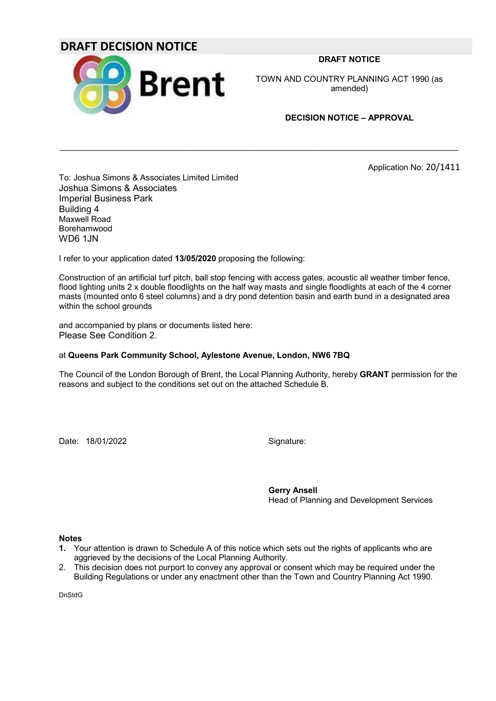# **DRAFT DECISION NOTICE**



**DRAFT NOTICE**

TOWN AND COUNTRY PLANNING ACT 1990 (as amended)

### **DECISION NOTICE – APPROVAL**

Application No: 20/1411

To: Joshua Simons & Associates Limited Limited Joshua Simons & Associates Imperial Business Park Building 4 Maxwell Road Borehamwood WD6 1JN

I refer to your application dated **13/05/2020** proposing the following:

Construction of an artificial turf pitch, ball stop fencing with access gates, acoustic all weather timber fence, flood lighting units 2 x double floodlights on the half way masts and single floodlights at each of the 4 corner masts (mounted onto 6 steel columns) and a dry pond detention basin and earth bund in a designated area within the school grounds

 $\mathcal{L}_\mathcal{L} = \{ \mathcal{L}_\mathcal{L} = \{ \mathcal{L}_\mathcal{L} = \{ \mathcal{L}_\mathcal{L} = \{ \mathcal{L}_\mathcal{L} = \{ \mathcal{L}_\mathcal{L} = \{ \mathcal{L}_\mathcal{L} = \{ \mathcal{L}_\mathcal{L} = \{ \mathcal{L}_\mathcal{L} = \{ \mathcal{L}_\mathcal{L} = \{ \mathcal{L}_\mathcal{L} = \{ \mathcal{L}_\mathcal{L} = \{ \mathcal{L}_\mathcal{L} = \{ \mathcal{L}_\mathcal{L} = \{ \mathcal{L}_\mathcal{$ 

and accompanied by plans or documents listed here: Please See Condition 2.

### at **Queens Park Community School, Aylestone Avenue, London, NW6 7BQ**

The Council of the London Borough of Brent, the Local Planning Authority, hereby **GRANT** permission for the reasons and subject to the conditions set out on the attached Schedule B.

Date: 18/01/2022 Signature:

**Gerry Ansell** Head of Planning and Development Services

**Notes**

- **1.** Your attention is drawn to Schedule A of this notice which sets out the rights of applicants who are aggrieved by the decisions of the Local Planning Authority.
- 2. This decision does not purport to convey any approval or consent which may be required under the Building Regulations or under any enactment other than the Town and Country Planning Act 1990.

DnStdG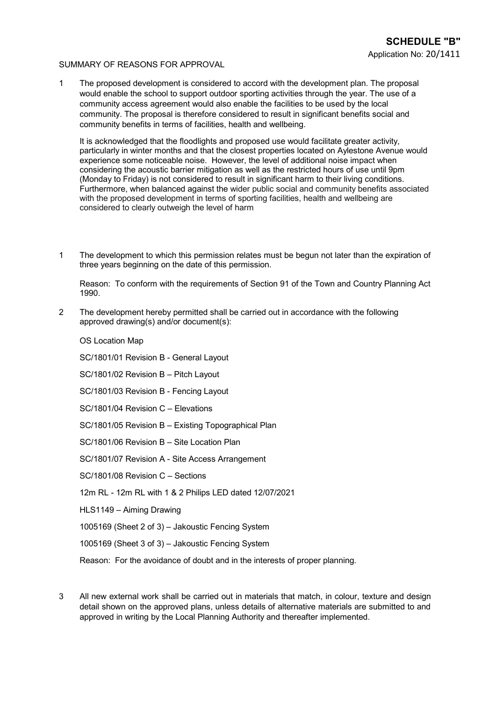### SUMMARY OF REASONS FOR APPROVAL

1 The proposed development is considered to accord with the development plan. The proposal would enable the school to support outdoor sporting activities through the year. The use of a community access agreement would also enable the facilities to be used by the local community. The proposal is therefore considered to result in significant benefits social and community benefits in terms of facilities, health and wellbeing.

It is acknowledged that the floodlights and proposed use would facilitate greater activity, particularly in winter months and that the closest properties located on Aylestone Avenue would experience some noticeable noise. However, the level of additional noise impact when considering the acoustic barrier mitigation as well as the restricted hours of use until 9pm (Monday to Friday) is not considered to result in significant harm to their living conditions. Furthermore, when balanced against the wider public social and community benefits associated with the proposed development in terms of sporting facilities, health and wellbeing are considered to clearly outweigh the level of harm

1 The development to which this permission relates must be begun not later than the expiration of three years beginning on the date of this permission.

Reason: To conform with the requirements of Section 91 of the Town and Country Planning Act 1990.

2 The development hereby permitted shall be carried out in accordance with the following approved drawing(s) and/or document(s):

OS Location Map

SC/1801/01 Revision B - General Layout

SC/1801/02 Revision B – Pitch Layout

SC/1801/03 Revision B - Fencing Layout

SC/1801/04 Revision C – Elevations

SC/1801/05 Revision B – Existing Topographical Plan

SC/1801/06 Revision B – Site Location Plan

SC/1801/07 Revision A - Site Access Arrangement

SC/1801/08 Revision C – Sections

12m RL - 12m RL with 1 & 2 Philips LED dated 12/07/2021

HLS1149 – Aiming Drawing

1005169 (Sheet 2 of 3) – Jakoustic Fencing System

1005169 (Sheet 3 of 3) – Jakoustic Fencing System

Reason: For the avoidance of doubt and in the interests of proper planning.

3 All new external work shall be carried out in materials that match, in colour, texture and design detail shown on the approved plans, unless details of alternative materials are submitted to and approved in writing by the Local Planning Authority and thereafter implemented.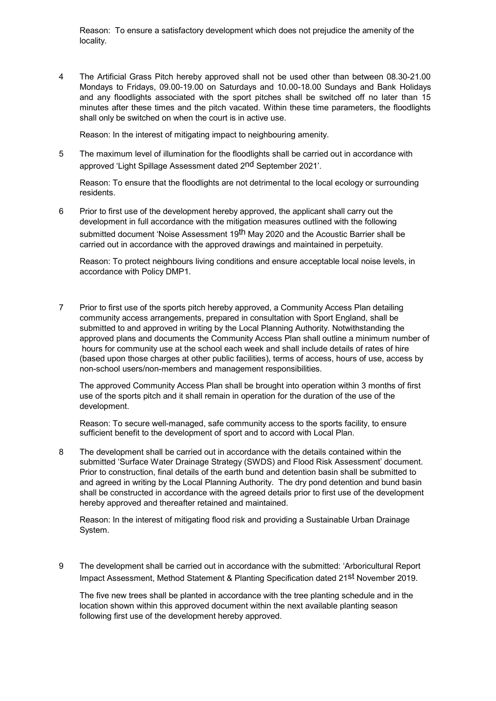Reason: To ensure a satisfactory development which does not prejudice the amenity of the locality.

4 The Artificial Grass Pitch hereby approved shall not be used other than between 08.30-21.00 Mondays to Fridays, 09.00-19.00 on Saturdays and 10.00-18.00 Sundays and Bank Holidays and any floodlights associated with the sport pitches shall be switched off no later than 15 minutes after these times and the pitch vacated. Within these time parameters, the floodlights shall only be switched on when the court is in active use.

Reason: In the interest of mitigating impact to neighbouring amenity.

5 The maximum level of illumination for the floodlights shall be carried out in accordance with approved 'Light Spillage Assessment dated 2nd September 2021'.

Reason: To ensure that the floodlights are not detrimental to the local ecology or surrounding residents.

6 Prior to first use of the development hereby approved, the applicant shall carry out the development in full accordance with the mitigation measures outlined with the following submitted document 'Noise Assessment 19<sup>th</sup> May 2020 and the Acoustic Barrier shall be carried out in accordance with the approved drawings and maintained in perpetuity.

Reason: To protect neighbours living conditions and ensure acceptable local noise levels, in accordance with Policy DMP1.

7 Prior to first use of the sports pitch hereby approved, a Community Access Plan detailing community access arrangements, prepared in consultation with Sport England, shall be submitted to and approved in writing by the Local Planning Authority. Notwithstanding the approved plans and documents the Community Access Plan shall outline a minimum number of hours for community use at the school each week and shall include details of rates of hire (based upon those charges at other public facilities), terms of access, hours of use, access by non-school users/non-members and management responsibilities.

The approved Community Access Plan shall be brought into operation within 3 months of first use of the sports pitch and it shall remain in operation for the duration of the use of the development.

Reason: To secure well-managed, safe community access to the sports facility, to ensure sufficient benefit to the development of sport and to accord with Local Plan.

8 The development shall be carried out in accordance with the details contained within the submitted 'Surface Water Drainage Strategy (SWDS) and Flood Risk Assessment' document. Prior to construction, final details of the earth bund and detention basin shall be submitted to and agreed in writing by the Local Planning Authority. The dry pond detention and bund basin shall be constructed in accordance with the agreed details prior to first use of the development hereby approved and thereafter retained and maintained.

Reason: In the interest of mitigating flood risk and providing a Sustainable Urban Drainage System.

9 The development shall be carried out in accordance with the submitted: 'Arboricultural Report Impact Assessment, Method Statement & Planting Specification dated 21st November 2019.

The five new trees shall be planted in accordance with the tree planting schedule and in the location shown within this approved document within the next available planting season following first use of the development hereby approved.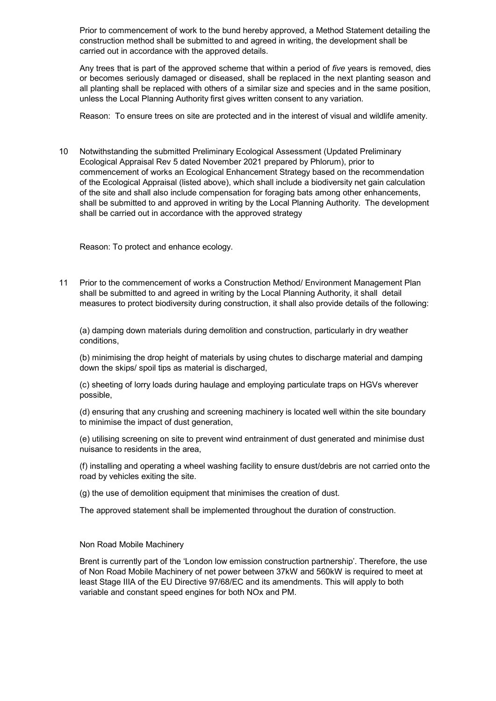Prior to commencement of work to the bund hereby approved, a Method Statement detailing the construction method shall be submitted to and agreed in writing, the development shall be carried out in accordance with the approved details.

Any trees that is part of the approved scheme that within a period of *five* years is removed, dies or becomes seriously damaged or diseased, shall be replaced in the next planting season and all planting shall be replaced with others of a similar size and species and in the same position, unless the Local Planning Authority first gives written consent to any variation.

Reason: To ensure trees on site are protected and in the interest of visual and wildlife amenity.

10 Notwithstanding the submitted Preliminary Ecological Assessment (Updated Preliminary Ecological Appraisal Rev 5 dated November 2021 prepared by Phlorum), prior to commencement of works an Ecological Enhancement Strategy based on the recommendation of the Ecological Appraisal (listed above), which shall include a biodiversity net gain calculation of the site and shall also include compensation for foraging bats among other enhancements, shall be submitted to and approved in writing by the Local Planning Authority. The development shall be carried out in accordance with the approved strategy

Reason: To protect and enhance ecology.

11 Prior to the commencement of works a Construction Method/ Environment Management Plan shall be submitted to and agreed in writing by the Local Planning Authority, it shall detail measures to protect biodiversity during construction, it shall also provide details of the following:

(a) damping down materials during demolition and construction, particularly in dry weather conditions,

(b) minimising the drop height of materials by using chutes to discharge material and damping down the skips/ spoil tips as material is discharged,

(c) sheeting of lorry loads during haulage and employing particulate traps on HGVs wherever possible,

(d) ensuring that any crushing and screening machinery is located well within the site boundary to minimise the impact of dust generation,

(e) utilising screening on site to prevent wind entrainment of dust generated and minimise dust nuisance to residents in the area,

(f) installing and operating a wheel washing facility to ensure dust/debris are not carried onto the road by vehicles exiting the site.

(g) the use of demolition equipment that minimises the creation of dust.

The approved statement shall be implemented throughout the duration of construction.

### Non Road Mobile Machinery

Brent is currently part of the 'London low emission construction partnership'. Therefore, the use of Non Road Mobile Machinery of net power between 37kW and 560kW is required to meet at least Stage IIIA of the EU Directive 97/68/EC and its amendments. This will apply to both variable and constant speed engines for both NOx and PM.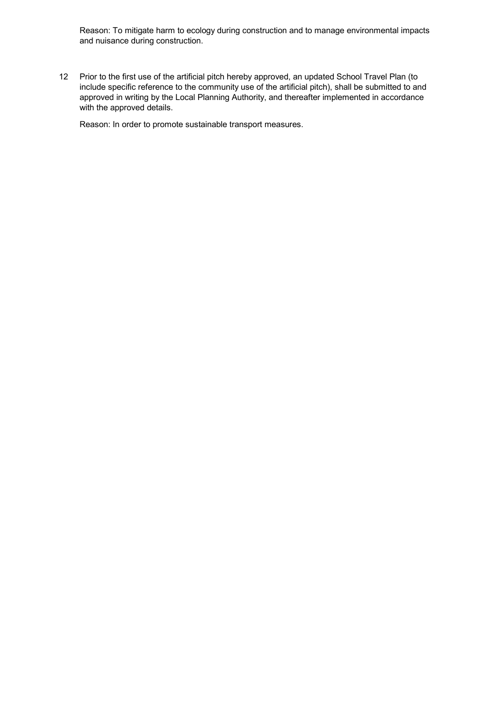Reason: To mitigate harm to ecology during construction and to manage environmental impacts and nuisance during construction.

12 Prior to the first use of the artificial pitch hereby approved, an updated School Travel Plan (to include specific reference to the community use of the artificial pitch), shall be submitted to and approved in writing by the Local Planning Authority, and thereafter implemented in accordance with the approved details.

Reason: In order to promote sustainable transport measures.